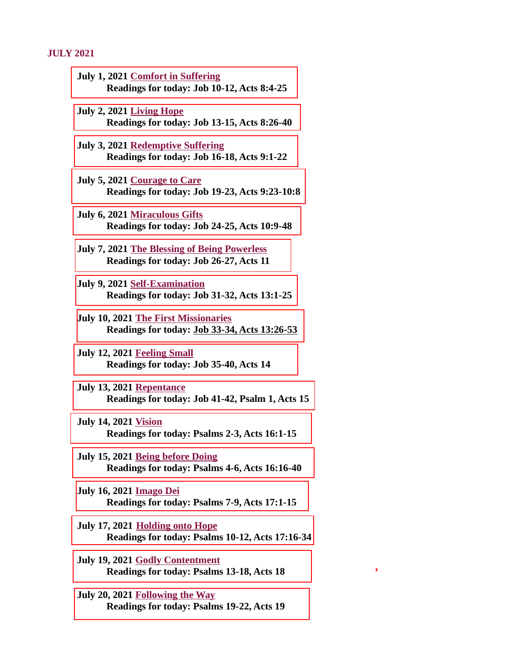#### JULY 2021

- July 1, 2021 Comfort in Suffering [Readings for today: Job 10-12, Acts 8:4-25](#page-2-0)
- July 2, 2021 Living Hope [Readings for today: Job 13-15, Acts 8:26-40](#page-4-0)
- July 3, 2021 Redemptive Suffering [Readings for today: Job 16-18, Acts 9:1-22](#page-5-0)
- July 5, 2021 Courage to Care [Readings for today: Job 19-23, Acts 9:23-10:8](#page-7-0)
- July 6, 2021 Miraculous Gifts [Readings for today: Job 24-25, Acts 10:9-48](#page-9-0)
- [July 7, 2021 The Blessing of Being Powerless](#page-11-0) Readings for today: Job 26-27, Acts 11
- July 9, 2021 Self-Examination [Readings for today: Job 31-32, Acts 13:1-25](#page-13-0)
- July 10, 2021 The First Missionaries [Readings for today: Job 33-34, Acts 13:26-53](#page-15-0)
- July 12, 2021 Feeling Small [Readings for today: Job 35-40, Acts 14](#page-17-0)
- July 13, 2021 Repentance [Readings for today: Job 41-42, Psalm 1, Acts 15](#page-19-0)
- July 14, 2021 Vision [Readings for today: Psalms 2-3, Acts 16:1-15](#page-20-0)
- July 15, 2021 Being before Doing [Readings for today: Psalms 4-6, Acts 16:16-40](#page-22-0)
- July 16, 2021 Imago Dei [Readings for today: Psalms 7-9, Acts 17:1-15](#page-23-0)
- July 17, 2021 Holding onto Hope [Readings for today: Psalms 10-12, Acts 17:16-34](#page-26-0)
- July 19, 2021 Godly Contentment [Readings for today: Psalms 13-18, Acts 18](#page-28-0)
- July 20, 2021 Following the Way [Readings for today: Psalms 19-22, Acts 19](#page-29-0)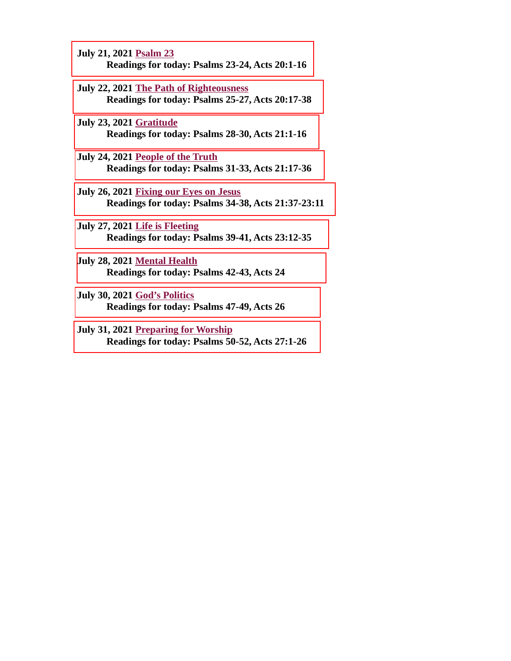- July 21, 2021 Psalm 23 [Readings for today: Psalms 23-24, Acts 20:1-16](#page-30-0)
- July 22, 2021 The Path of Righteousness [Readings for today: Psalms 25-27, Acts 20:17-38](#page-31-0)
- July 23, 2021 Gratitude [Readings for today: Psalms 28-30, Acts 21:1-16](#page-33-0)
- July 24, 2021 People of the Truth [Readings for today: Psalms 31-33, Acts 21:17-36](#page-35-0)
- July 26, 2021 Fixing our Eyes on Jesus [Readings for today: Psalms 34-38, Acts 21:37-23:11](#page-36-0)
- July 27, 2021 Life is Fleeting [Readings for today: Psalms 39-41, Acts 23:12-35](#page-38-0)
- July 28, 2021 Mental Health [Readings for today: Psalms 42-43, Acts 24](#page-40-0)
- July 30, 2021 God's Politics [Readings for today: Psalms 47-49, Acts 26](#page-42-0)
- July 31, 2021 Preparing for Worship [Readings for today: Psalms 50-52, Acts 27:1-26](#page-44-0)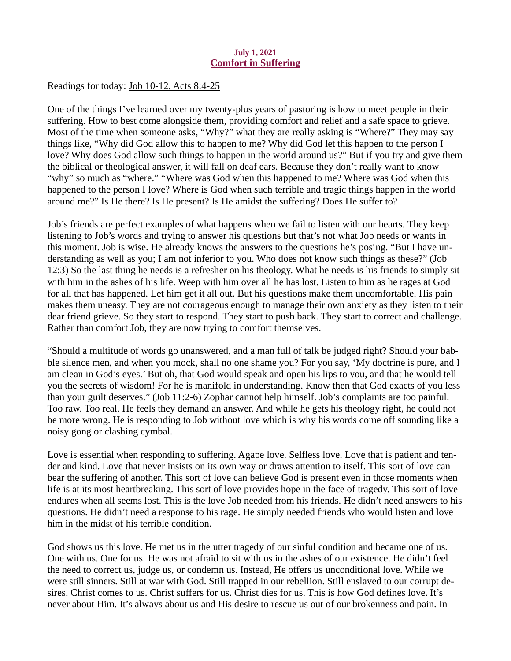## July 1, 2021 Comfort in Suffering

<span id="page-2-0"></span>Readings for today: [Job 10-12, Acts 8:4-25](https://www.biblegateway.com/passage/?search=Job+10-12%2C+Acts+8%3A4-25&version=ESV)

One of the things I've learned over my twenty-plus years of pastoring is how to meet people in their suffering. How to best come alongside them, providing comfort and relief and a safe space to grieve. Most of the time when someone asks, "Why?" what they are really asking is "Where?" They may say things like, "Why did God allow this to happen to me? Why did God let this happen to the person I love? Why does God allow such things to happen in the world around us?" But if you try and give them the biblical or theological answer, it will fall on deaf ears. Because they don't really want to know "why" so much as "where." "Where was God when this happened to me? Where was God when this happened to the person I love? Where is God when such terrible and tragic things happen in the world around me?" Is He there? Is He present? Is He amidst the suffering? Does He suffer to?

Job's friends are perfect examples of what happens when we fail to listen with our hearts. They keep listening to Job's words and trying to answer his questions but that's not what Job needs or wants in this moment. Job is wise. He already knows the answers to the questions he's posing. "But I have understanding as well as you; I am not inferior to you. Who does not know such things as these?" (Job 12:3) So the last thing he needs is a refresher on his theology. What he needs is his friends to simply sit with him in the ashes of his life. Weep with him over all he has lost. Listen to him as he rages at God for all that has happened. Let him get it all out. But his questions make them uncomfortable. His pain makes them uneasy. They are not courageous enough to manage their own anxiety as they listen to their dear friend grieve. So they start to respond. They start to push back. They start to correct and challenge. Rather than comfort Job, they are now trying to comfort themselves.

"Should a multitude of words go unanswered, and a man full of talk be judged right? Should your babble silence men, and when you mock, shall no one shame you? For you say, 'My doctrine is pure, and I am clean in God's eyes.' But oh, that God would speak and open his lips to you, and that he would tell you the secrets of wisdom! For he is manifold in understanding. Know then that God exacts of you less than your guilt deserves." (Job 11:2-6) Zophar cannot help himself. Job's complaints are too painful. Too raw. Too real. He feels they demand an answer. And while he gets his theology right, he could not be more wrong. He is responding to Job without love which is why his words come off sounding like a noisy gong or clashing cymbal.

Love is essential when responding to suffering. Agape love. Selfless love. Love that is patient and tender and kind. Love that never insists on its own way or draws attention to itself. This sort of love can bear the suffering of another. This sort of love can believe God is present even in those moments when life is at its most heartbreaking. This sort of love provides hope in the face of tragedy. This sort of love endures when all seems lost. This is the love Job needed from his friends. He didn't need answers to his questions. He didn't need a response to his rage. He simply needed friends who would listen and love him in the midst of his terrible condition.

God shows us this love. He met us in the utter tragedy of our sinful condition and became one of us. One with us. One for us. He was not afraid to sit with us in the ashes of our existence. He didn't feel the need to correct us, judge us, or condemn us. Instead, He offers us unconditional love. While we were still sinners. Still at war with God. Still trapped in our rebellion. Still enslaved to our corrupt desires. Christ comes to us. Christ suffers for us. Christ dies for us. This is how God defines love. It's never about Him. It's always about us and His desire to rescue us out of our brokenness and pain. In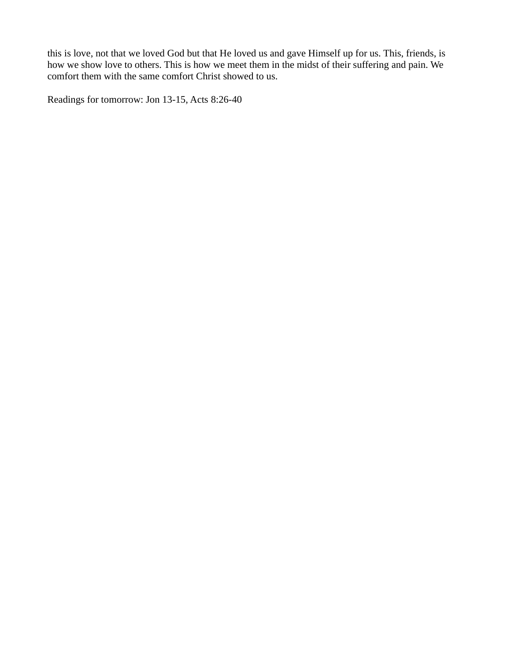this is love, not that we loved God but that He loved us and gave Himself up for us. This, friends, is how we show love to others. This is how we meet them in the midst of their suffering and pain. We comfort them with the same comfort Christ showed to us.

Readings for tomorrow: Jon 13-15, Acts 8:26-40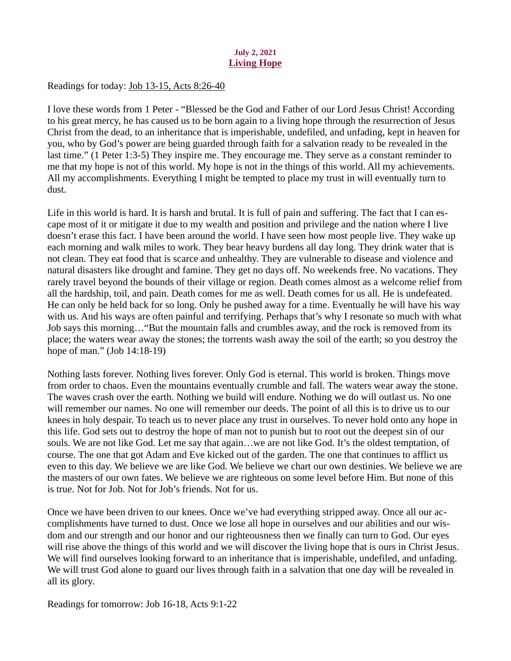# July 2, 2021 Living Hope

<span id="page-4-0"></span>Readings for today: [Job 13-15, Acts 8:26-40](https://www.biblegateway.com/passage/?search=Job+13-15%2C+Acts+8%3A26-40&version=ESV)

I love these words from 1 Peter - "Blessed be the God and Father of our Lord Jesus Christ! According to his great mercy, he has caused us to be born again to a living hope through the resurrection of Jesus Christ from the dead, to an inheritance that is imperishable, undefiled, and unfading, kept in heaven for you, who by God's power are being guarded through faith for a salvation ready to be revealed in the last time." (1 Peter 1:3-5) They inspire me. They encourage me. They serve as a constant reminder to me that my hope is not of this world. My hope is not in the things of this world. All my achievements. All my accomplishments. Everything I might be tempted to place my trust in will eventually turn to dust.

Life in this world is hard. It is harsh and brutal. It is full of pain and suffering. The fact that I can escape most of it or mitigate it due to my wealth and position and privilege and the nation where I live doesn't erase this fact. I have been around the world. I have seen how most people live. They wake up each morning and walk miles to work. They bear heavy burdens all day long. They drink water that is not clean. They eat food that is scarce and unhealthy. They are vulnerable to disease and violence and natural disasters like drought and famine. They get no days off. No weekends free. No vacations. They rarely travel beyond the bounds of their village or region. Death comes almost as a welcome relief from all the hardship, toil, and pain. Death comes for me as well. Death comes for us all. He is undefeated. He can only be held back for so long. Only be pushed away for a time. Eventually he will have his way with us. And his ways are often painful and terrifying. Perhaps that's why I resonate so much with what Job says this morning…"But the mountain falls and crumbles away, and the rock is removed from its place; the waters wear away the stones; the torrents wash away the soil of the earth; so you destroy the hope of man." (Job 14:18-19)

Nothing lasts forever. Nothing lives forever. Only God is eternal. This world is broken. Things move from order to chaos. Even the mountains eventually crumble and fall. The waters wear away the stone. The waves crash over the earth. Nothing we build will endure. Nothing we do will outlast us. No one will remember our names. No one will remember our deeds. The point of all this is to drive us to our knees in holy despair. To teach us to never place any trust in ourselves. To never hold onto any hope in this life. God sets out to destroy the hope of man not to punish but to root out the deepest sin of our souls. We are not like God. Let me say that again…we are not like God. It's the oldest temptation, of course. The one that got Adam and Eve kicked out of the garden. The one that continues to afflict us even to this day. We believe we are like God. We believe we chart our own destinies. We believe we are the masters of our own fates. We believe we are righteous on some level before Him. But none of this is true. Not for Job. Not for Job's friends. Not for us.

Once we have been driven to our knees. Once we've had everything stripped away. Once all our accomplishments have turned to dust. Once we lose all hope in ourselves and our abilities and our wisdom and our strength and our honor and our righteousness then we finally can turn to God. Our eyes will rise above the things of this world and we will discover the living hope that is ours in Christ Jesus. We will find ourselves looking forward to an inheritance that is imperishable, undefiled, and unfading. We will trust God alone to guard our lives through faith in a salvation that one day will be revealed in all its glory.

Readings for tomorrow: Job 16-18, Acts 9:1-22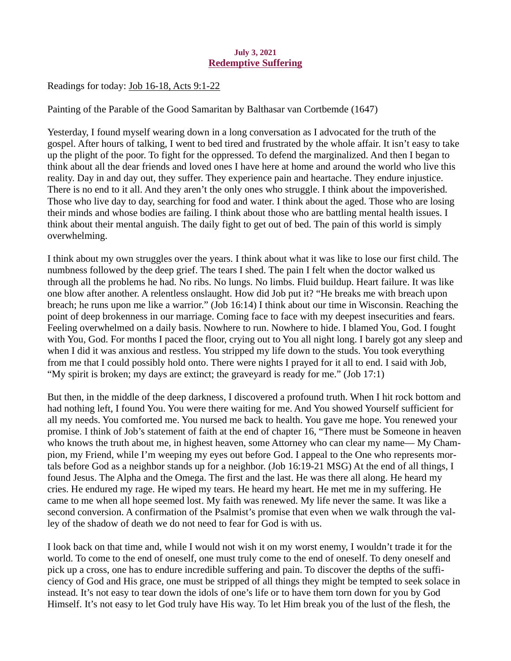## July 3, 2021 Redemptive Suffering

<span id="page-5-0"></span>Readings for today[: Job 16-18, Acts 9:1-22](https://www.biblegateway.com/passage/?search=Job+16-18%2C+Acts+9%3A1-22&version=ESV)

Painting of the Parable of the Good Samaritan by Balthasar van Cortbemde (1647)

Yesterday, I found myself wearing down in a long conversation as I advocated for the truth of the gospel. After hours of talking, I went to bed tired and frustrated by the whole affair. It isn't easy to take up the plight of the poor. To fight for the oppressed. To defend the marginalized. And then I began to think about all the dear friends and loved ones I have here at home and around the world who live this reality. Day in and day out, they suffer. They experience pain and heartache. They endure injustice. There is no end to it all. And they aren't the only ones who struggle. I think about the impoverished. Those who live day to day, searching for food and water. I think about the aged. Those who are losing their minds and whose bodies are failing. I think about those who are battling mental health issues. I think about their mental anguish. The daily fight to get out of bed. The pain of this world is simply overwhelming.

I think about my own struggles over the years. I think about what it was like to lose our first child. The numbness followed by the deep grief. The tears I shed. The pain I felt when the doctor walked us through all the problems he had. No ribs. No lungs. No limbs. Fluid buildup. Heart failure. It was like one blow after another. A relentless onslaught. How did Job put it? "He breaks me with breach upon breach; he runs upon me like a warrior." (Job 16:14) I think about our time in Wisconsin. Reaching the point of deep brokenness in our marriage. Coming face to face with my deepest insecurities and fears. Feeling overwhelmed on a daily basis. Nowhere to run. Nowhere to hide. I blamed You, God. I fought with You, God. For months I paced the floor, crying out to You all night long. I barely got any sleep and when I did it was anxious and restless. You stripped my life down to the studs. You took everything from me that I could possibly hold onto. There were nights I prayed for it all to end. I said with Job, "My spirit is broken; my days are extinct; the graveyard is ready for me." (Job 17:1)

But then, in the middle of the deep darkness, I discovered a profound truth. When I hit rock bottom and had nothing left, I found You. You were there waiting for me. And You showed Yourself sufficient for all my needs. You comforted me. You nursed me back to health. You gave me hope. You renewed your promise. I think of Job's statement of faith at the end of chapter 16, "There must be Someone in heaven who knows the truth about me, in highest heaven, some Attorney who can clear my name— My Champion, my Friend, while I'm weeping my eyes out before God. I appeal to the One who represents mortals before God as a neighbor stands up for a neighbor. (Job 16:19-21 MSG) At the end of all things, I found Jesus. The Alpha and the Omega. The first and the last. He was there all along. He heard my cries. He endured my rage. He wiped my tears. He heard my heart. He met me in my suffering. He came to me when all hope seemed lost. My faith was renewed. My life never the same. It was like a second conversion. A confirmation of the Psalmist's promise that even when we walk through the valley of the shadow of death we do not need to fear for God is with us.

I look back on that time and, while I would not wish it on my worst enemy, I wouldn't trade it for the world. To come to the end of oneself, one must truly come to the end of oneself. To deny oneself and pick up a cross, one has to endure incredible suffering and pain. To discover the depths of the sufficiency of God and His grace, one must be stripped of all things they might be tempted to seek solace in instead. It's not easy to tear down the idols of one's life or to have them torn down for you by God Himself. It's not easy to let God truly have His way. To let Him break you of the lust of the flesh, the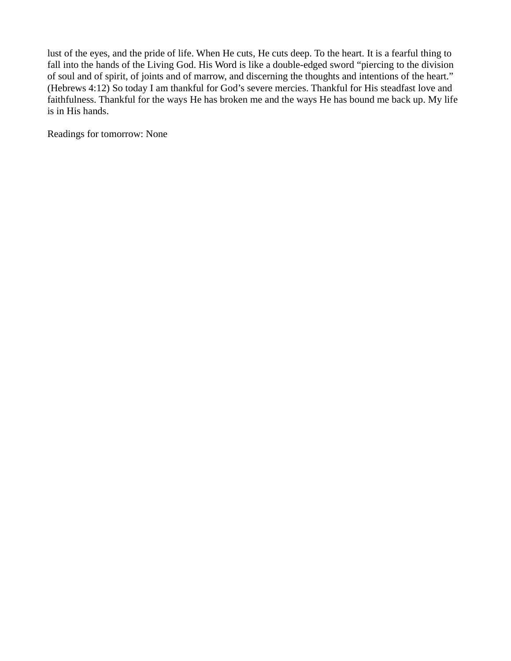lust of the eyes, and the pride of life. When He cuts, He cuts deep. To the heart. It is a fearful thing to fall into the hands of the Living God. His Word is like a double-edged sword "piercing to the division of soul and of spirit, of joints and of marrow, and discerning the thoughts and intentions of the heart." (Hebrews 4:12) So today I am thankful for God's severe mercies. Thankful for His steadfast love and faithfulness. Thankful for the ways He has broken me and the ways He has bound me back up. My life is in His hands.

Readings for tomorrow: None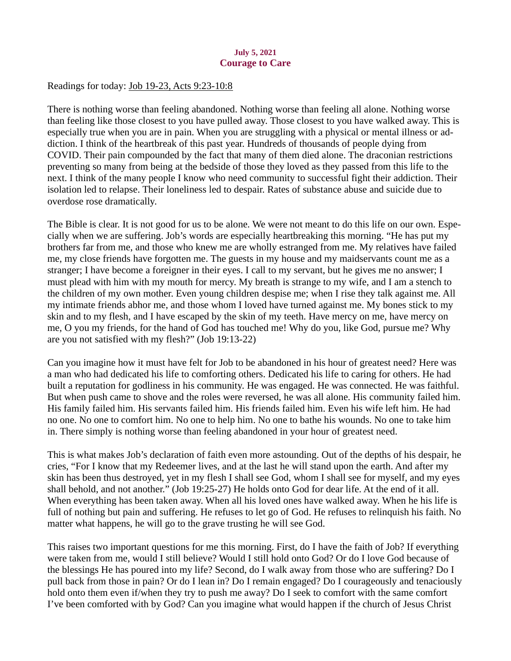# July 5, 2021 Courage to Care

<span id="page-7-0"></span>Readings for today: [Job 19-23, Acts 9:23-10:8](https://www.biblegateway.com/passage/?search=Job+19-23%2C+Acts+9%3A23-10%3A8&version=ESV)

There is nothing worse than feeling abandoned. Nothing worse than feeling all alone. Nothing worse than feeling like those closest to you have pulled away. Those closest to you have walked away. This is especially true when you are in pain. When you are struggling with a physical or mental illness or addiction. I think of the heartbreak of this past year. Hundreds of thousands of people dying from COVID. Their pain compounded by the fact that many of them died alone. The draconian restrictions preventing so many from being at the bedside of those they loved as they passed from this life to the next. I think of the many people I know who need community to successful fight their addiction. Their isolation led to relapse. Their loneliness led to despair. Rates of substance abuse and suicide due to overdose rose dramatically.

The Bible is clear. It is not good for us to be alone. We were not meant to do this life on our own. Especially when we are suffering. Job's words are especially heartbreaking this morning. "He has put my brothers far from me, and those who knew me are wholly estranged from me. My relatives have failed me, my close friends have forgotten me. The guests in my house and my maidservants count me as a stranger; I have become a foreigner in their eyes. I call to my servant, but he gives me no answer; I must plead with him with my mouth for mercy. My breath is strange to my wife, and I am a stench to the children of my own mother. Even young children despise me; when I rise they talk against me. All my intimate friends abhor me, and those whom I loved have turned against me. My bones stick to my skin and to my flesh, and I have escaped by the skin of my teeth. Have mercy on me, have mercy on me, O you my friends, for the hand of God has touched me! Why do you, like God, pursue me? Why are you not satisfied with my flesh?" (Job 19:13-22)

Can you imagine how it must have felt for Job to be abandoned in his hour of greatest need? Here was a man who had dedicated his life to comforting others. Dedicated his life to caring for others. He had built a reputation for godliness in his community. He was engaged. He was connected. He was faithful. But when push came to shove and the roles were reversed, he was all alone. His community failed him. His family failed him. His servants failed him. His friends failed him. Even his wife left him. He had no one. No one to comfort him. No one to help him. No one to bathe his wounds. No one to take him in. There simply is nothing worse than feeling abandoned in your hour of greatest need.

This is what makes Job's declaration of faith even more astounding. Out of the depths of his despair, he cries, "For I know that my Redeemer lives, and at the last he will stand upon the earth. And after my skin has been thus destroyed, yet in my flesh I shall see God, whom I shall see for myself, and my eyes shall behold, and not another." (Job 19:25-27) He holds onto God for dear life. At the end of it all. When everything has been taken away. When all his loved ones have walked away. When he his life is full of nothing but pain and suffering. He refuses to let go of God. He refuses to relinquish his faith. No matter what happens, he will go to the grave trusting he will see God.

This raises two important questions for me this morning. First, do I have the faith of Job? If everything were taken from me, would I still believe? Would I still hold onto God? Or do I love God because of the blessings He has poured into my life? Second, do I walk away from those who are suffering? Do I pull back from those in pain? Or do I lean in? Do I remain engaged? Do I courageously and tenaciously hold onto them even if/when they try to push me away? Do I seek to comfort with the same comfort I've been comforted with by God? Can you imagine what would happen if the church of Jesus Christ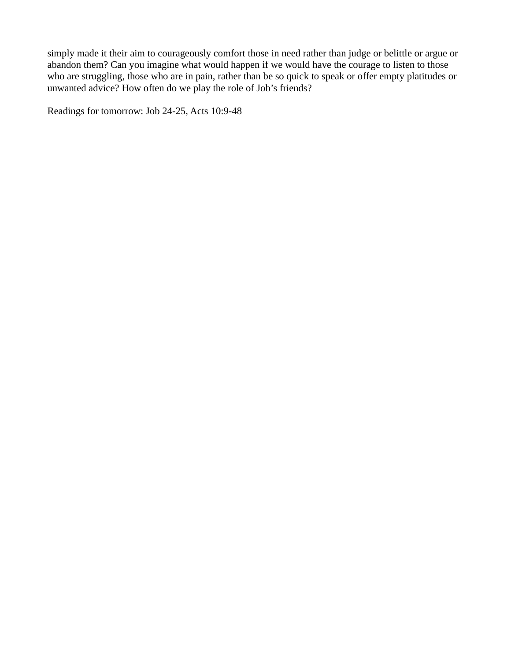simply made it their aim to courageously comfort those in need rather than judge or belittle or argue or abandon them? Can you imagine what would happen if we would have the courage to listen to those who are struggling, those who are in pain, rather than be so quick to speak or offer empty platitudes or unwanted advice? How often do we play the role of Job's friends?

Readings for tomorrow: Job 24-25, Acts 10:9-48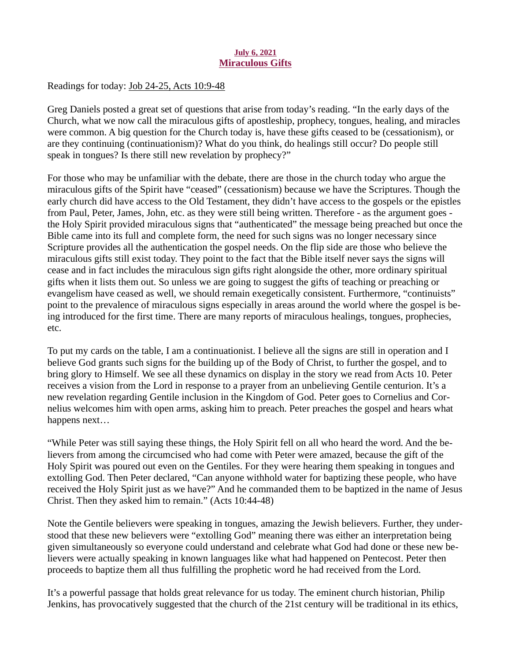## July 6, 2021 Miraculous Gifts

<span id="page-9-0"></span>Readings for today: [Job 24-25, Acts 10:9-48](https://www.biblegateway.com/passage/?search=Job+24-25%2C+Acts+10%3A9-48&version=ESV)

Greg Daniels posted a great set of questions that arise from today's reading. "In the early days of the Church, what we now call the miraculous gifts of apostleship, prophecy, tongues, healing, and miracles were common. A big question for the Church today is, have these gifts ceased to be (cessationism), or are they continuing (continuationism)? What do you think, do healings still occur? Do people still speak in tongues? Is there still new revelation by prophecy?"

For those who may be unfamiliar with the debate, there are those in the church today who argue the miraculous gifts of the Spirit have "ceased" (cessationism) because we have the Scriptures. Though the early church did have access to the Old Testament, they didn't have access to the gospels or the epistles from Paul, Peter, James, John, etc. as they were still being written. Therefore - as the argument goes the Holy Spirit provided miraculous signs that "authenticated" the message being preached but once the Bible came into its full and complete form, the need for such signs was no longer necessary since Scripture provides all the authentication the gospel needs. On the flip side are those who believe the miraculous gifts still exist today. They point to the fact that the Bible itself never says the signs will cease and in fact includes the miraculous sign gifts right alongside the other, more ordinary spiritual gifts when it lists them out. So unless we are going to suggest the gifts of teaching or preaching or evangelism have ceased as well, we should remain exegetically consistent. Furthermore, "continuists" point to the prevalence of miraculous signs especially in areas around the world where the gospel is being introduced for the first time. There are many reports of miraculous healings, tongues, prophecies, etc.

To put my cards on the table, I am a continuationist. I believe all the signs are still in operation and I believe God grants such signs for the building up of the Body of Christ, to further the gospel, and to bring glory to Himself. We see all these dynamics on display in the story we read from Acts 10. Peter receives a vision from the Lord in response to a prayer from an unbelieving Gentile centurion. It's a new revelation regarding Gentile inclusion in the Kingdom of God. Peter goes to Cornelius and Cornelius welcomes him with open arms, asking him to preach. Peter preaches the gospel and hears what happens next…

"While Peter was still saying these things, the Holy Spirit fell on all who heard the word. And the believers from among the circumcised who had come with Peter were amazed, because the gift of the Holy Spirit was poured out even on the Gentiles. For they were hearing them speaking in tongues and extolling God. Then Peter declared, "Can anyone withhold water for baptizing these people, who have received the Holy Spirit just as we have?" And he commanded them to be baptized in the name of Jesus Christ. Then they asked him to remain." (Acts 10:44-48)

Note the Gentile believers were speaking in tongues, amazing the Jewish believers. Further, they understood that these new believers were "extolling God" meaning there was either an interpretation being given simultaneously so everyone could understand and celebrate what God had done or these new believers were actually speaking in known languages like what had happened on Pentecost. Peter then proceeds to baptize them all thus fulfilling the prophetic word he had received from the Lord.

It's a powerful passage that holds great relevance for us today. The eminent church historian, Philip Jenkins, has provocatively suggested that the church of the 21st century will be traditional in its ethics,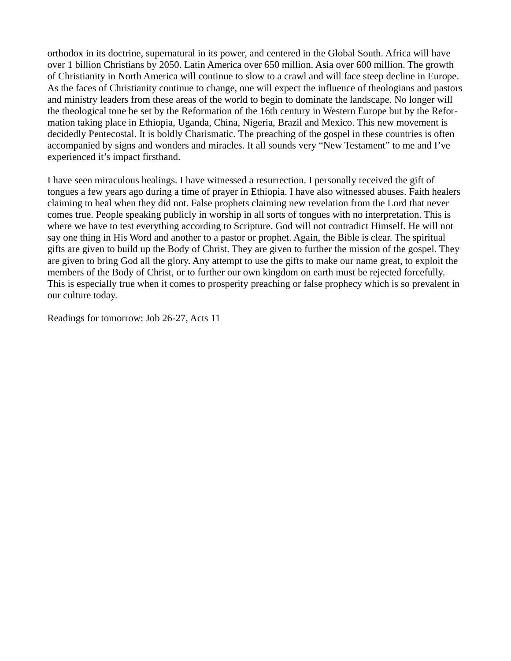orthodox in its doctrine, supernatural in its power, and centered in the Global South. Africa will have over 1 billion Christians by 2050. Latin America over 650 million. Asia over 600 million. The growth of Christianity in North America will continue to slow to a crawl and will face steep decline in Europe. As the faces of Christianity continue to change, one will expect the influence of theologians and pastors and ministry leaders from these areas of the world to begin to dominate the landscape. No longer will the theological tone be set by the Reformation of the 16th century in Western Europe but by the Reformation taking place in Ethiopia, Uganda, China, Nigeria, Brazil and Mexico. This new movement is decidedly Pentecostal. It is boldly Charismatic. The preaching of the gospel in these countries is often accompanied by signs and wonders and miracles. It all sounds very "New Testament" to me and I've experienced it's impact firsthand.

I have seen miraculous healings. I have witnessed a resurrection. I personally received the gift of tongues a few years ago during a time of prayer in Ethiopia. I have also witnessed abuses. Faith healers claiming to heal when they did not. False prophets claiming new revelation from the Lord that never comes true. People speaking publicly in worship in all sorts of tongues with no interpretation. This is where we have to test everything according to Scripture. God will not contradict Himself. He will not say one thing in His Word and another to a pastor or prophet. Again, the Bible is clear. The spiritual gifts are given to build up the Body of Christ. They are given to further the mission of the gospel. They are given to bring God all the glory. Any attempt to use the gifts to make our name great, to exploit the members of the Body of Christ, or to further our own kingdom on earth must be rejected forcefully. This is especially true when it comes to prosperity preaching or false prophecy which is so prevalent in our culture today.

Readings for tomorrow: Job 26-27, Acts 11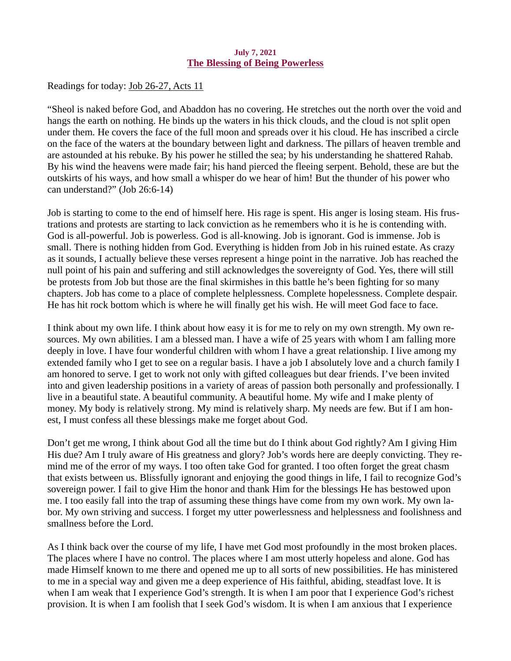### July 7, 2021 The Blessing of Being Powerless

<span id="page-11-0"></span>Readings for today[: Job 26-27, Acts 11](https://www.biblegateway.com/passage/?search=Job+26-27%2C+Acts+11&version=ESV)

"Sheol is naked before God, and Abaddon has no covering. He stretches out the north over the void and hangs the earth on nothing. He binds up the waters in his thick clouds, and the cloud is not split open under them. He covers the face of the full moon and spreads over it his cloud. He has inscribed a circle on the face of the waters at the boundary between light and darkness. The pillars of heaven tremble and are astounded at his rebuke. By his power he stilled the sea; by his understanding he shattered Rahab. By his wind the heavens were made fair; his hand pierced the fleeing serpent. Behold, these are but the outskirts of his ways, and how small a whisper do we hear of him! But the thunder of his power who can understand?" (Job 26:6-14)

Job is starting to come to the end of himself here. His rage is spent. His anger is losing steam. His frustrations and protests are starting to lack conviction as he remembers who it is he is contending with. God is all-powerful. Job is powerless. God is all-knowing. Job is ignorant. God is immense. Job is small. There is nothing hidden from God. Everything is hidden from Job in his ruined estate. As crazy as it sounds, I actually believe these verses represent a hinge point in the narrative. Job has reached the null point of his pain and suffering and still acknowledges the sovereignty of God. Yes, there will still be protests from Job but those are the final skirmishes in this battle he's been fighting for so many chapters. Job has come to a place of complete helplessness. Complete hopelessness. Complete despair. He has hit rock bottom which is where he will finally get his wish. He will meet God face to face.

I think about my own life. I think about how easy it is for me to rely on my own strength. My own resources. My own abilities. I am a blessed man. I have a wife of 25 years with whom I am falling more deeply in love. I have four wonderful children with whom I have a great relationship. I live among my extended family who I get to see on a regular basis. I have a job I absolutely love and a church family I am honored to serve. I get to work not only with gifted colleagues but dear friends. I've been invited into and given leadership positions in a variety of areas of passion both personally and professionally. I live in a beautiful state. A beautiful community. A beautiful home. My wife and I make plenty of money. My body is relatively strong. My mind is relatively sharp. My needs are few. But if I am honest, I must confess all these blessings make me forget about God.

Don't get me wrong, I think about God all the time but do I think about God rightly? Am I giving Him His due? Am I truly aware of His greatness and glory? Job's words here are deeply convicting. They remind me of the error of my ways. I too often take God for granted. I too often forget the great chasm that exists between us. Blissfully ignorant and enjoying the good things in life, I fail to recognize God's sovereign power. I fail to give Him the honor and thank Him for the blessings He has bestowed upon me. I too easily fall into the trap of assuming these things have come from my own work. My own labor. My own striving and success. I forget my utter powerlessness and helplessness and foolishness and smallness before the Lord.

As I think back over the course of my life, I have met God most profoundly in the most broken places. The places where I have no control. The places where I am most utterly hopeless and alone. God has made Himself known to me there and opened me up to all sorts of new possibilities. He has ministered to me in a special way and given me a deep experience of His faithful, abiding, steadfast love. It is when I am weak that I experience God's strength. It is when I am poor that I experience God's richest provision. It is when I am foolish that I seek God's wisdom. It is when I am anxious that I experience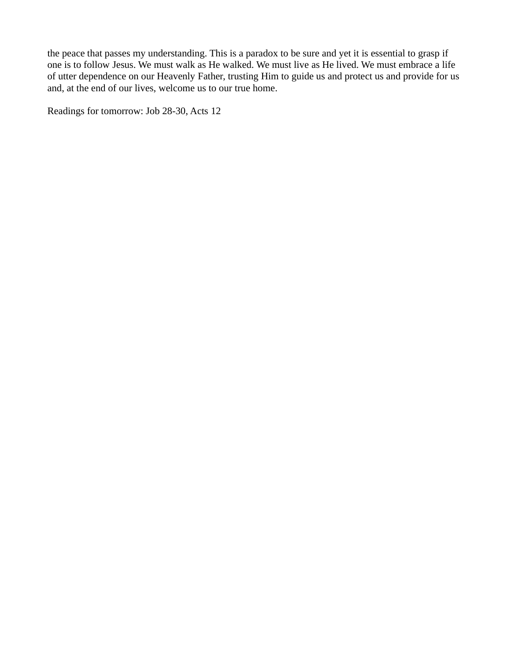the peace that passes my understanding. This is a paradox to be sure and yet it is essential to grasp if one is to follow Jesus. We must walk as He walked. We must live as He lived. We must embrace a life of utter dependence on our Heavenly Father, trusting Him to guide us and protect us and provide for us and, at the end of our lives, welcome us to our true home.

Readings for tomorrow: Job 28-30, Acts 12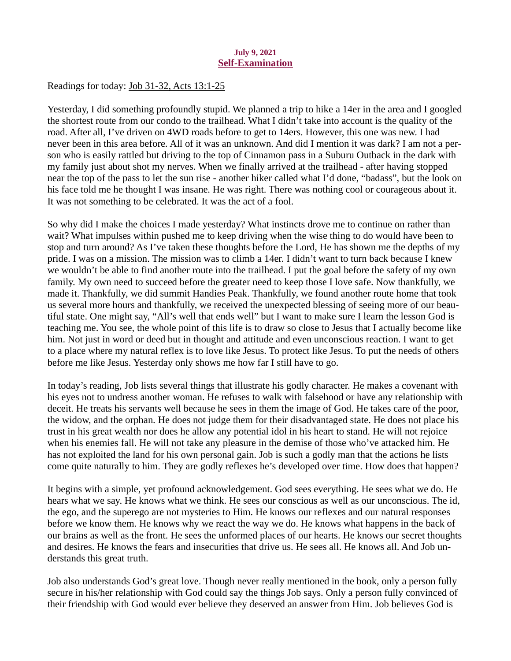### July 9, 2021 Self-Examination

<span id="page-13-0"></span>Readings for today: [Job 31-32, Acts 13:1-25](https://www.biblegateway.com/passage/?search=Job+31-32%2C+Acts+13%3A1-25&version=ESV)

Yesterday, I did something profoundly stupid. We planned a trip to hike a 14er in the area and I googled the shortest route from our condo to the trailhead. What I didn't take into account is the quality of the road. After all, I've driven on 4WD roads before to get to 14ers. However, this one was new. I had never been in this area before. All of it was an unknown. And did I mention it was dark? I am not a person who is easily rattled but driving to the top of Cinnamon pass in a Suburu Outback in the dark with my family just about shot my nerves. When we finally arrived at the trailhead - after having stopped near the top of the pass to let the sun rise - another hiker called what I'd done, "badass", but the look on his face told me he thought I was insane. He was right. There was nothing cool or courageous about it. It was not something to be celebrated. It was the act of a fool.

So why did I make the choices I made yesterday? What instincts drove me to continue on rather than wait? What impulses within pushed me to keep driving when the wise thing to do would have been to stop and turn around? As I've taken these thoughts before the Lord, He has shown me the depths of my pride. I was on a mission. The mission was to climb a 14er. I didn't want to turn back because I knew we wouldn't be able to find another route into the trailhead. I put the goal before the safety of my own family. My own need to succeed before the greater need to keep those I love safe. Now thankfully, we made it. Thankfully, we did summit Handies Peak. Thankfully, we found another route home that took us several more hours and thankfully, we received the unexpected blessing of seeing more of our beautiful state. One might say, "All's well that ends well" but I want to make sure I learn the lesson God is teaching me. You see, the whole point of this life is to draw so close to Jesus that I actually become like him. Not just in word or deed but in thought and attitude and even unconscious reaction. I want to get to a place where my natural reflex is to love like Jesus. To protect like Jesus. To put the needs of others before me like Jesus. Yesterday only shows me how far I still have to go.

In today's reading, Job lists several things that illustrate his godly character. He makes a covenant with his eyes not to undress another woman. He refuses to walk with falsehood or have any relationship with deceit. He treats his servants well because he sees in them the image of God. He takes care of the poor, the widow, and the orphan. He does not judge them for their disadvantaged state. He does not place his trust in his great wealth nor does he allow any potential idol in his heart to stand. He will not rejoice when his enemies fall. He will not take any pleasure in the demise of those who've attacked him. He has not exploited the land for his own personal gain. Job is such a godly man that the actions he lists come quite naturally to him. They are godly reflexes he's developed over time. How does that happen?

It begins with a simple, yet profound acknowledgement. God sees everything. He sees what we do. He hears what we say. He knows what we think. He sees our conscious as well as our unconscious. The id, the ego, and the superego are not mysteries to Him. He knows our reflexes and our natural responses before we know them. He knows why we react the way we do. He knows what happens in the back of our brains as well as the front. He sees the unformed places of our hearts. He knows our secret thoughts and desires. He knows the fears and insecurities that drive us. He sees all. He knows all. And Job understands this great truth.

Job also understands God's great love. Though never really mentioned in the book, only a person fully secure in his/her relationship with God could say the things Job says. Only a person fully convinced of their friendship with God would ever believe they deserved an answer from Him. Job believes God is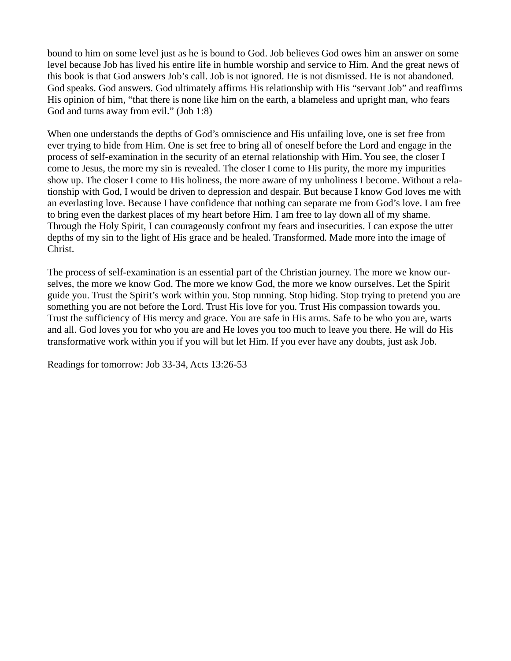bound to him on some level just as he is bound to God. Job believes God owes him an answer on some level because Job has lived his entire life in humble worship and service to Him. And the great news of this book is that God answers Job's call. Job is not ignored. He is not dismissed. He is not abandoned. God speaks. God answers. God ultimately affirms His relationship with His "servant Job" and reaffirms His opinion of him, "that there is none like him on the earth, a blameless and upright man, who fears God and turns away from evil." (Job 1:8)

When one understands the depths of God's omniscience and His unfailing love, one is set free from ever trying to hide from Him. One is set free to bring all of oneself before the Lord and engage in the process of self-examination in the security of an eternal relationship with Him. You see, the closer I come to Jesus, the more my sin is revealed. The closer I come to His purity, the more my impurities show up. The closer I come to His holiness, the more aware of my unholiness I become. Without a relationship with God, I would be driven to depression and despair. But because I know God loves me with an everlasting love. Because I have confidence that nothing can separate me from God's love. I am free to bring even the darkest places of my heart before Him. I am free to lay down all of my shame. Through the Holy Spirit, I can courageously confront my fears and insecurities. I can expose the utter depths of my sin to the light of His grace and be healed. Transformed. Made more into the image of Christ.

The process of self-examination is an essential part of the Christian journey. The more we know ourselves, the more we know God. The more we know God, the more we know ourselves. Let the Spirit guide you. Trust the Spirit's work within you. Stop running. Stop hiding. Stop trying to pretend you are something you are not before the Lord. Trust His love for you. Trust His compassion towards you. Trust the sufficiency of His mercy and grace. You are safe in His arms. Safe to be who you are, warts and all. God loves you for who you are and He loves you too much to leave you there. He will do His transformative work within you if you will but let Him. If you ever have any doubts, just ask Job.

Readings for tomorrow: Job 33-34, Acts 13:26-53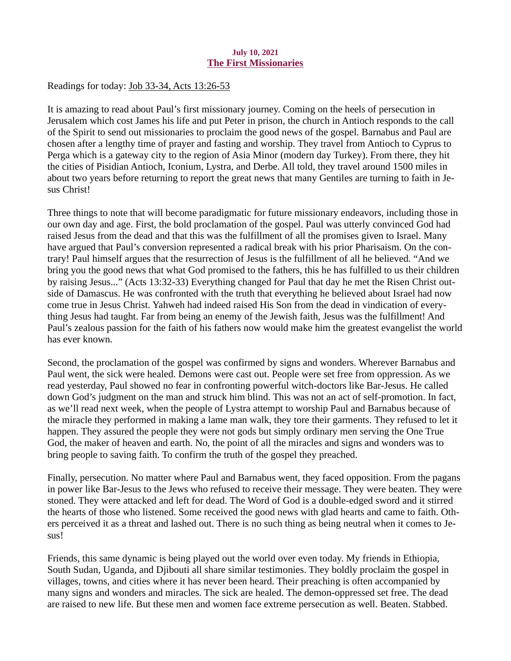## July 10, 2021 The First Missionaries

<span id="page-15-0"></span>Readings for today: [Job 33-34, Acts 13:26-53](https://www.biblegateway.com/passage/?search=Job+33-34%2C+Acts+13%3A26-53&version=ESV)

It is amazing to read about Paul's first missionary journey. Coming on the heels of persecution in Jerusalem which cost James his life and put Peter in prison, the church in Antioch responds to the call of the Spirit to send out missionaries to proclaim the good news of the gospel. Barnabus and Paul are chosen after a lengthy time of prayer and fasting and worship. They travel from Antioch to Cyprus to Perga which is a gateway city to the region of Asia Minor (modern day Turkey). From there, they hit the cities of Pisidian Antioch, Iconium, Lystra, and Derbe. All told, they travel around 1500 miles in about two years before returning to report the great news that many Gentiles are turning to faith in Jesus Christ!

Three things to note that will become paradigmatic for future missionary endeavors, including those in our own day and age. First, the bold proclamation of the gospel. Paul was utterly convinced God had raised Jesus from the dead and that this was the fulfillment of all the promises given to Israel. Many have argued that Paul's conversion represented a radical break with his prior Pharisaism. On the contrary! Paul himself argues that the resurrection of Jesus is the fulfillment of all he believed. "And we bring you the good news that what God promised to the fathers, this he has fulfilled to us their children by raising Jesus..." (Acts 13:32-33) Everything changed for Paul that day he met the Risen Christ outside of Damascus. He was confronted with the truth that everything he believed about Israel had now come true in Jesus Christ. Yahweh had indeed raised His Son from the dead in vindication of everything Jesus had taught. Far from being an enemy of the Jewish faith, Jesus was the fulfillment! And Paul's zealous passion for the faith of his fathers now would make him the greatest evangelist the world has ever known.

Second, the proclamation of the gospel was confirmed by signs and wonders. Wherever Barnabus and Paul went, the sick were healed. Demons were cast out. People were set free from oppression. As we read yesterday, Paul showed no fear in confronting powerful witch-doctors like Bar-Jesus. He called down God's judgment on the man and struck him blind. This was not an act of self-promotion. In fact, as we'll read next week, when the people of Lystra attempt to worship Paul and Barnabus because of the miracle they performed in making a lame man walk, they tore their garments. They refused to let it happen. They assured the people they were not gods but simply ordinary men serving the One True God, the maker of heaven and earth. No, the point of all the miracles and signs and wonders was to bring people to saving faith. To confirm the truth of the gospel they preached.

Finally, persecution. No matter where Paul and Barnabus went, they faced opposition. From the pagans in power like Bar-Jesus to the Jews who refused to receive their message. They were beaten. They were stoned. They were attacked and left for dead. The Word of God is a double-edged sword and it stirred the hearts of those who listened. Some received the good news with glad hearts and came to faith. Others perceived it as a threat and lashed out. There is no such thing as being neutral when it comes to Jesus!

Friends, this same dynamic is being played out the world over even today. My friends in Ethiopia, South Sudan, Uganda, and Djibouti all share similar testimonies. They boldly proclaim the gospel in villages, towns, and cities where it has never been heard. Their preaching is often accompanied by many signs and wonders and miracles. The sick are healed. The demon-oppressed set free. The dead are raised to new life. But these men and women face extreme persecution as well. Beaten. Stabbed.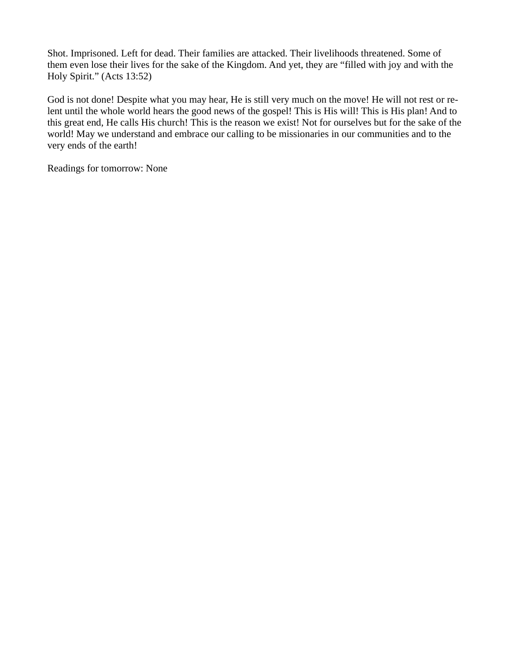Shot. Imprisoned. Left for dead. Their families are attacked. Their livelihoods threatened. Some of them even lose their lives for the sake of the Kingdom. And yet, they are "filled with joy and with the Holy Spirit." (Acts 13:52)

God is not done! Despite what you may hear, He is still very much on the move! He will not rest or relent until the whole world hears the good news of the gospel! This is His will! This is His plan! And to this great end, He calls His church! This is the reason we exist! Not for ourselves but for the sake of the world! May we understand and embrace our calling to be missionaries in our communities and to the very ends of the earth!

Readings for tomorrow: None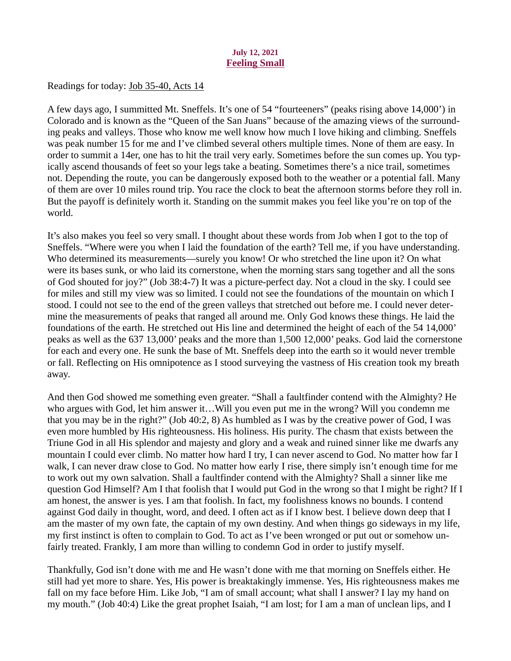# July 12, 2021 Feeling Small

<span id="page-17-0"></span>Readings for today: [Job 35-40, Acts 14](https://www.biblegateway.com/passage/?search=Job+35-40%2C+Acts+14&version=ESV)

A few days ago, I summitted Mt. Sneffels. It's one of 54 "fourteeners" (peaks rising above 14,000') in Colorado and is known as the "Queen of the San Juans" because of the amazing views of the surrounding peaks and valleys. Those who know me well know how much I love hiking and climbing. Sneffels was peak number 15 for me and I've climbed several others multiple times. None of them are easy. In order to summit a 14er, one has to hit the trail very early. Sometimes before the sun comes up. You typically ascend thousands of feet so your legs take a beating. Sometimes there's a nice trail, sometimes not. Depending the route, you can be dangerously exposed both to the weather or a potential fall. Many of them are over 10 miles round trip. You race the clock to beat the afternoon storms before they roll in. But the payoff is definitely worth it. Standing on the summit makes you feel like you're on top of the world.

It's also makes you feel so very small. I thought about these words from Job when I got to the top of Sneffels. "Where were you when I laid the foundation of the earth? Tell me, if you have understanding. Who determined its measurements—surely you know! Or who stretched the line upon it? On what were its bases sunk, or who laid its cornerstone, when the morning stars sang together and all the sons of God shouted for joy?" (Job 38:4-7) It was a picture-perfect day. Not a cloud in the sky. I could see for miles and still my view was so limited. I could not see the foundations of the mountain on which I stood. I could not see to the end of the green valleys that stretched out before me. I could never determine the measurements of peaks that ranged all around me. Only God knows these things. He laid the foundations of the earth. He stretched out His line and determined the height of each of the 54 14,000' peaks as well as the 637 13,000' peaks and the more than 1,500 12,000' peaks. God laid the cornerstone for each and every one. He sunk the base of Mt. Sneffels deep into the earth so it would never tremble or fall. Reflecting on His omnipotence as I stood surveying the vastness of His creation took my breath away.

And then God showed me something even greater. "Shall a faultfinder contend with the Almighty? He who argues with God, let him answer it…Will you even put me in the wrong? Will you condemn me that you may be in the right?" (Job 40:2, 8) As humbled as I was by the creative power of God, I was even more humbled by His righteousness. His holiness. His purity. The chasm that exists between the Triune God in all His splendor and majesty and glory and a weak and ruined sinner like me dwarfs any mountain I could ever climb. No matter how hard I try, I can never ascend to God. No matter how far I walk, I can never draw close to God. No matter how early I rise, there simply isn't enough time for me to work out my own salvation. Shall a faultfinder contend with the Almighty? Shall a sinner like me question God Himself? Am I that foolish that I would put God in the wrong so that I might be right? If I am honest, the answer is yes. I am that foolish. In fact, my foolishness knows no bounds. I contend against God daily in thought, word, and deed. I often act as if I know best. I believe down deep that I am the master of my own fate, the captain of my own destiny. And when things go sideways in my life, my first instinct is often to complain to God. To act as I've been wronged or put out or somehow unfairly treated. Frankly, I am more than willing to condemn God in order to justify myself.

Thankfully, God isn't done with me and He wasn't done with me that morning on Sneffels either. He still had yet more to share. Yes, His power is breaktakingly immense. Yes, His righteousness makes me fall on my face before Him. Like Job, "I am of small account; what shall I answer? I lay my hand on my mouth." (Job 40:4) Like the great prophet Isaiah, "I am lost; for I am a man of unclean lips, and I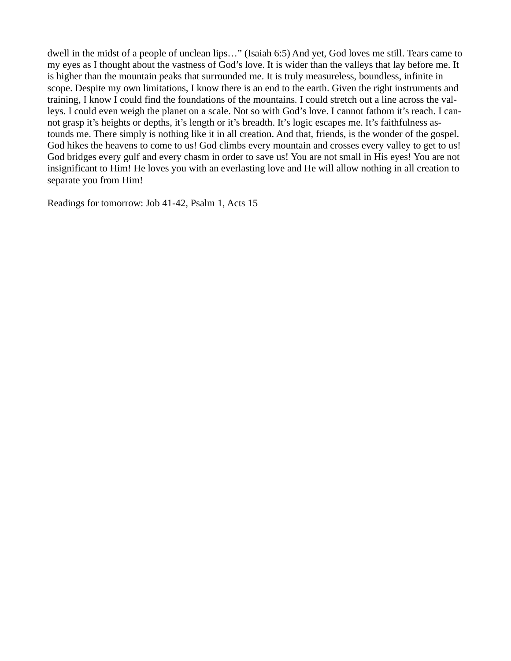dwell in the midst of a people of unclean lips…" (Isaiah 6:5) And yet, God loves me still. Tears came to my eyes as I thought about the vastness of God's love. It is wider than the valleys that lay before me. It is higher than the mountain peaks that surrounded me. It is truly measureless, boundless, infinite in scope. Despite my own limitations, I know there is an end to the earth. Given the right instruments and training, I know I could find the foundations of the mountains. I could stretch out a line across the valleys. I could even weigh the planet on a scale. Not so with God's love. I cannot fathom it's reach. I cannot grasp it's heights or depths, it's length or it's breadth. It's logic escapes me. It's faithfulness astounds me. There simply is nothing like it in all creation. And that, friends, is the wonder of the gospel. God hikes the heavens to come to us! God climbs every mountain and crosses every valley to get to us! God bridges every gulf and every chasm in order to save us! You are not small in His eyes! You are not insignificant to Him! He loves you with an everlasting love and He will allow nothing in all creation to separate you from Him!

Readings for tomorrow: Job 41-42, Psalm 1, Acts 15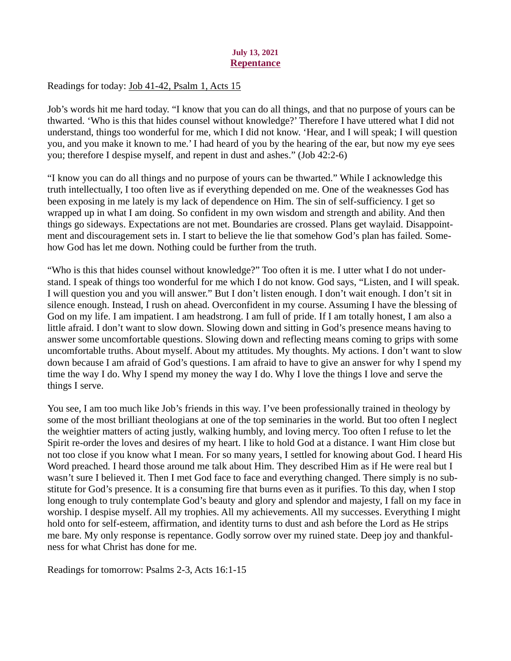### July 13, 2021 **Repentance**

<span id="page-19-0"></span>Readings for today[: Job 41-42, Psalm 1, Acts 15](https://www.biblegateway.com/passage/?search=Job+41-42%2C+Psalm+1%2C+Acts+15&version=ESV)

Job's words hit me hard today. "I know that you can do all things, and that no purpose of yours can be thwarted. 'Who is this that hides counsel without knowledge?' Therefore I have uttered what I did not understand, things too wonderful for me, which I did not know. 'Hear, and I will speak; I will question you, and you make it known to me.' I had heard of you by the hearing of the ear, but now my eye sees you; therefore I despise myself, and repent in dust and ashes." (Job 42:2-6)

"I know you can do all things and no purpose of yours can be thwarted." While I acknowledge this truth intellectually, I too often live as if everything depended on me. One of the weaknesses God has been exposing in me lately is my lack of dependence on Him. The sin of self-sufficiency. I get so wrapped up in what I am doing. So confident in my own wisdom and strength and ability. And then things go sideways. Expectations are not met. Boundaries are crossed. Plans get waylaid. Disappointment and discouragement sets in. I start to believe the lie that somehow God's plan has failed. Somehow God has let me down. Nothing could be further from the truth.

"Who is this that hides counsel without knowledge?" Too often it is me. I utter what I do not understand. I speak of things too wonderful for me which I do not know. God says, "Listen, and I will speak. I will question you and you will answer." But I don't listen enough. I don't wait enough. I don't sit in silence enough. Instead, I rush on ahead. Overconfident in my course. Assuming I have the blessing of God on my life. I am impatient. I am headstrong. I am full of pride. If I am totally honest, I am also a little afraid. I don't want to slow down. Slowing down and sitting in God's presence means having to answer some uncomfortable questions. Slowing down and reflecting means coming to grips with some uncomfortable truths. About myself. About my attitudes. My thoughts. My actions. I don't want to slow down because I am afraid of God's questions. I am afraid to have to give an answer for why I spend my time the way I do. Why I spend my money the way I do. Why I love the things I love and serve the things I serve.

You see, I am too much like Job's friends in this way. I've been professionally trained in theology by some of the most brilliant theologians at one of the top seminaries in the world. But too often I neglect the weightier matters of acting justly, walking humbly, and loving mercy. Too often I refuse to let the Spirit re-order the loves and desires of my heart. I like to hold God at a distance. I want Him close but not too close if you know what I mean. For so many years, I settled for knowing about God. I heard His Word preached. I heard those around me talk about Him. They described Him as if He were real but I wasn't sure I believed it. Then I met God face to face and everything changed. There simply is no substitute for God's presence. It is a consuming fire that burns even as it purifies. To this day, when I stop long enough to truly contemplate God's beauty and glory and splendor and majesty, I fall on my face in worship. I despise myself. All my trophies. All my achievements. All my successes. Everything I might hold onto for self-esteem, affirmation, and identity turns to dust and ash before the Lord as He strips me bare. My only response is repentance. Godly sorrow over my ruined state. Deep joy and thankfulness for what Christ has done for me.

Readings for tomorrow: Psalms 2-3, Acts 16:1-15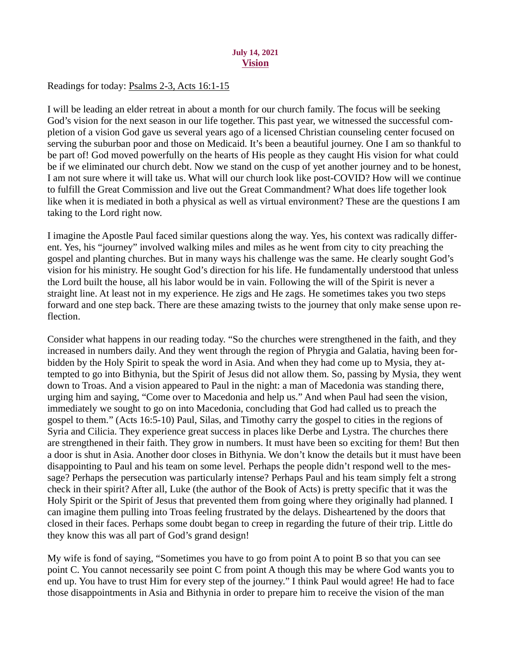### July 14, 2021 Vision

# <span id="page-20-0"></span>Readings for today[: Psalms 2-3, Acts 16:1-15](https://www.biblegateway.com/passage/?search=Psalms+2-3%2C+Acts+16%3A1-15&version=ESV)

I will be leading an elder retreat in about a month for our church family. The focus will be seeking God's vision for the next season in our life together. This past year, we witnessed the successful completion of a vision God gave us several years ago of a licensed Christian counseling center focused on serving the suburban poor and those on Medicaid. It's been a beautiful journey. One I am so thankful to be part of! God moved powerfully on the hearts of His people as they caught His vision for what could be if we eliminated our church debt. Now we stand on the cusp of yet another journey and to be honest, I am not sure where it will take us. What will our church look like post-COVID? How will we continue to fulfill the Great Commission and live out the Great Commandment? What does life together look like when it is mediated in both a physical as well as virtual environment? These are the questions I am taking to the Lord right now.

I imagine the Apostle Paul faced similar questions along the way. Yes, his context was radically different. Yes, his "journey" involved walking miles and miles as he went from city to city preaching the gospel and planting churches. But in many ways his challenge was the same. He clearly sought God's vision for his ministry. He sought God's direction for his life. He fundamentally understood that unless the Lord built the house, all his labor would be in vain. Following the will of the Spirit is never a straight line. At least not in my experience. He zigs and He zags. He sometimes takes you two steps forward and one step back. There are these amazing twists to the journey that only make sense upon reflection.

Consider what happens in our reading today. "So the churches were strengthened in the faith, and they increased in numbers daily. And they went through the region of Phrygia and Galatia, having been forbidden by the Holy Spirit to speak the word in Asia. And when they had come up to Mysia, they attempted to go into Bithynia, but the Spirit of Jesus did not allow them. So, passing by Mysia, they went down to Troas. And a vision appeared to Paul in the night: a man of Macedonia was standing there, urging him and saying, "Come over to Macedonia and help us." And when Paul had seen the vision, immediately we sought to go on into Macedonia, concluding that God had called us to preach the gospel to them." (Acts 16:5-10) Paul, Silas, and Timothy carry the gospel to cities in the regions of Syria and Cilicia. They experience great success in places like Derbe and Lystra. The churches there are strengthened in their faith. They grow in numbers. It must have been so exciting for them! But then a door is shut in Asia. Another door closes in Bithynia. We don't know the details but it must have been disappointing to Paul and his team on some level. Perhaps the people didn't respond well to the message? Perhaps the persecution was particularly intense? Perhaps Paul and his team simply felt a strong check in their spirit? After all, Luke (the author of the Book of Acts) is pretty specific that it was the Holy Spirit or the Spirit of Jesus that prevented them from going where they originally had planned. I can imagine them pulling into Troas feeling frustrated by the delays. Disheartened by the doors that closed in their faces. Perhaps some doubt began to creep in regarding the future of their trip. Little do they know this was all part of God's grand design!

My wife is fond of saying, "Sometimes you have to go from point A to point B so that you can see point C. You cannot necessarily see point C from point A though this may be where God wants you to end up. You have to trust Him for every step of the journey." I think Paul would agree! He had to face those disappointments in Asia and Bithynia in order to prepare him to receive the vision of the man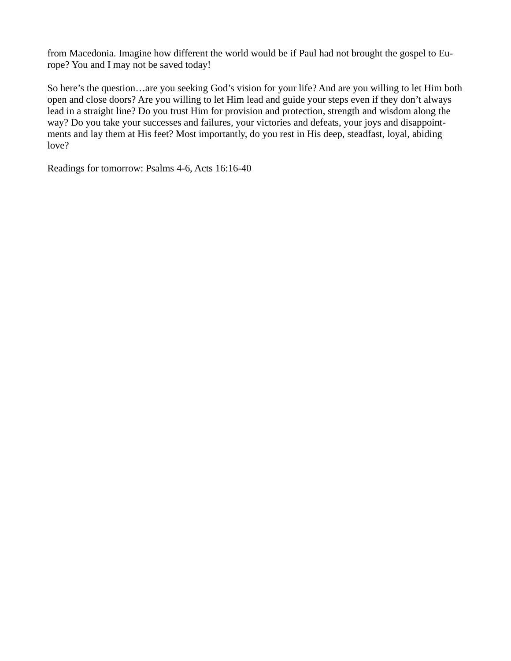from Macedonia. Imagine how different the world would be if Paul had not brought the gospel to Europe? You and I may not be saved today!

So here's the question…are you seeking God's vision for your life? And are you willing to let Him both open and close doors? Are you willing to let Him lead and guide your steps even if they don't always lead in a straight line? Do you trust Him for provision and protection, strength and wisdom along the way? Do you take your successes and failures, your victories and defeats, your joys and disappointments and lay them at His feet? Most importantly, do you rest in His deep, steadfast, loyal, abiding love?

Readings for tomorrow: Psalms 4-6, Acts 16:16-40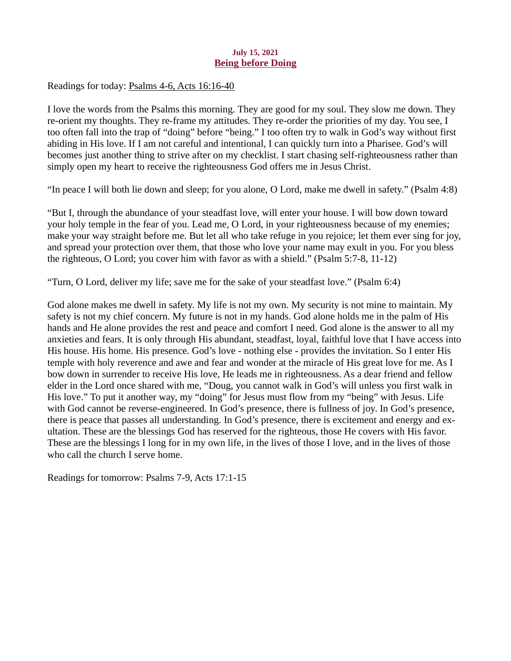## July 15, 2021 Being before Doing

<span id="page-22-0"></span>Readings for today[: Psalms 4-6, Acts 16:16-40](https://www.biblegateway.com/passage/?search=Psalms+4-6%2C+Acts+16%3A16-40&version=ESV)

I love the words from the Psalms this morning. They are good for my soul. They slow me down. They re-orient my thoughts. They re-frame my attitudes. They re-order the priorities of my day. You see, I too often fall into the trap of "doing" before "being." I too often try to walk in God's way without first abiding in His love. If I am not careful and intentional, I can quickly turn into a Pharisee. God's will becomes just another thing to strive after on my checklist. I start chasing self-righteousness rather than simply open my heart to receive the righteousness God offers me in Jesus Christ.

"In peace I will both lie down and sleep; for you alone, O Lord, make me dwell in safety." (Psalm 4:8)

"But I, through the abundance of your steadfast love, will enter your house. I will bow down toward your holy temple in the fear of you. Lead me, O Lord, in your righteousness because of my enemies; make your way straight before me. But let all who take refuge in you rejoice; let them ever sing for joy, and spread your protection over them, that those who love your name may exult in you. For you bless the righteous, O Lord; you cover him with favor as with a shield." (Psalm 5:7-8, 11-12)

"Turn, O Lord, deliver my life; save me for the sake of your steadfast love." (Psalm 6:4)

God alone makes me dwell in safety. My life is not my own. My security is not mine to maintain. My safety is not my chief concern. My future is not in my hands. God alone holds me in the palm of His hands and He alone provides the rest and peace and comfort I need. God alone is the answer to all my anxieties and fears. It is only through His abundant, steadfast, loyal, faithful love that I have access into His house. His home. His presence. God's love - nothing else - provides the invitation. So I enter His temple with holy reverence and awe and fear and wonder at the miracle of His great love for me. As I bow down in surrender to receive His love, He leads me in righteousness. As a dear friend and fellow elder in the Lord once shared with me, "Doug, you cannot walk in God's will unless you first walk in His love." To put it another way, my "doing" for Jesus must flow from my "being" with Jesus. Life with God cannot be reverse-engineered. In God's presence, there is fullness of joy. In God's presence, there is peace that passes all understanding. In God's presence, there is excitement and energy and exultation. These are the blessings God has reserved for the righteous, those He covers with His favor. These are the blessings I long for in my own life, in the lives of those I love, and in the lives of those who call the church I serve home.

Readings for tomorrow: Psalms 7-9, Acts 17:1-15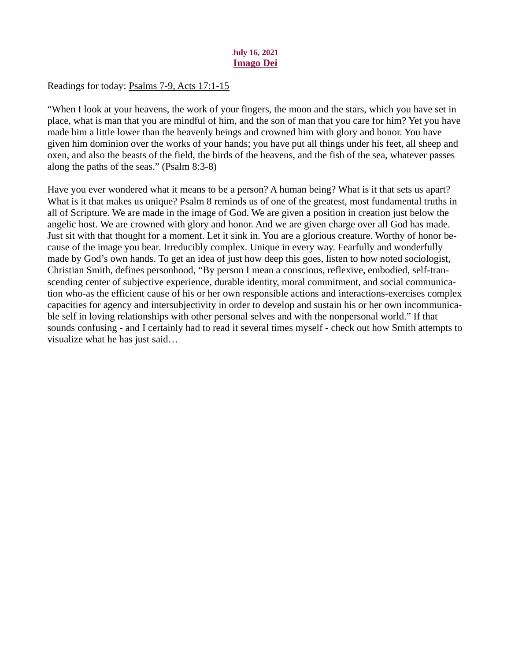## July 16, 2021 Imago Dei

<span id="page-23-0"></span>Readings for today: [Psalms 7-9, Acts 17:1-15](https://www.biblegateway.com/passage/?search=Psalms+7-9%2C+Acts+17%3A1-15&version=ESV)

"When I look at your heavens, the work of your fingers, the moon and the stars, which you have set in place, what is man that you are mindful of him, and the son of man that you care for him? Yet you have made him a little lower than the heavenly beings and crowned him with glory and honor. You have given him dominion over the works of your hands; you have put all things under his feet, all sheep and oxen, and also the beasts of the field, the birds of the heavens, and the fish of the sea, whatever passes along the paths of the seas." (Psalm 8:3-8)

Have you ever wondered what it means to be a person? A human being? What is it that sets us apart? What is it that makes us unique? Psalm 8 reminds us of one of the greatest, most fundamental truths in all of Scripture. We are made in the image of God. We are given a position in creation just below the angelic host. We are crowned with glory and honor. And we are given charge over all God has made. Just sit with that thought for a moment. Let it sink in. You are a glorious creature. Worthy of honor because of the image you bear. Irreducibly complex. Unique in every way. Fearfully and wonderfully made by God's own hands. To get an idea of just how deep this goes, listen to how noted sociologist, Christian Smith, defines personhood, "By person I mean a conscious, reflexive, embodied, self-transcending center of subjective experience, durable identity, moral commitment, and social communication who-as the efficient cause of his or her own responsible actions and interactions-exercises complex capacities for agency and intersubjectivity in order to develop and sustain his or her own incommunicable self in loving relationships with other personal selves and with the nonpersonal world." If that sounds confusing - and I certainly had to read it several times myself - check out how Smith attempts to visualize what he has just said…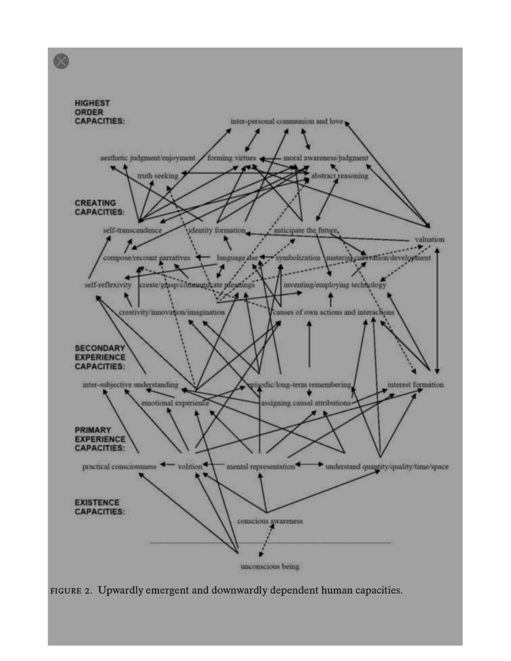

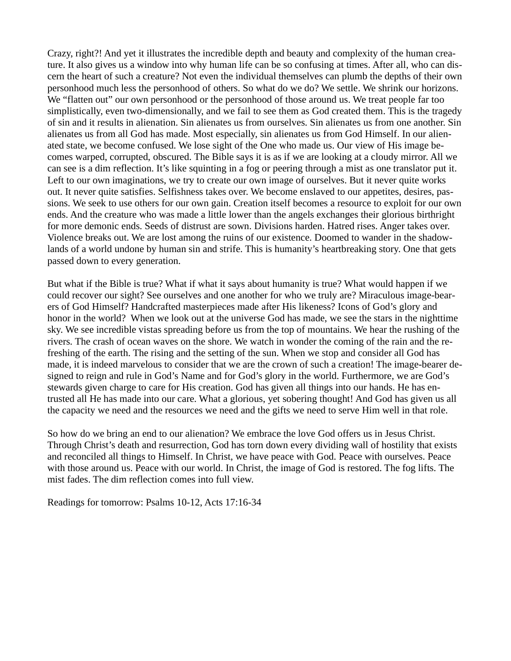Crazy, right?! And yet it illustrates the incredible depth and beauty and complexity of the human creature. It also gives us a window into why human life can be so confusing at times. After all, who can discern the heart of such a creature? Not even the individual themselves can plumb the depths of their own personhood much less the personhood of others. So what do we do? We settle. We shrink our horizons. We "flatten out" our own personhood or the personhood of those around us. We treat people far too simplistically, even two-dimensionally, and we fail to see them as God created them. This is the tragedy of sin and it results in alienation. Sin alienates us from ourselves. Sin alienates us from one another. Sin alienates us from all God has made. Most especially, sin alienates us from God Himself. In our alienated state, we become confused. We lose sight of the One who made us. Our view of His image becomes warped, corrupted, obscured. The Bible says it is as if we are looking at a cloudy mirror. All we can see is a dim reflection. It's like squinting in a fog or peering through a mist as one translator put it. Left to our own imaginations, we try to create our own image of ourselves. But it never quite works out. It never quite satisfies. Selfishness takes over. We become enslaved to our appetites, desires, passions. We seek to use others for our own gain. Creation itself becomes a resource to exploit for our own ends. And the creature who was made a little lower than the angels exchanges their glorious birthright for more demonic ends. Seeds of distrust are sown. Divisions harden. Hatred rises. Anger takes over. Violence breaks out. We are lost among the ruins of our existence. Doomed to wander in the shadowlands of a world undone by human sin and strife. This is humanity's heartbreaking story. One that gets passed down to every generation.

But what if the Bible is true? What if what it says about humanity is true? What would happen if we could recover our sight? See ourselves and one another for who we truly are? Miraculous image-bearers of God Himself? Handcrafted masterpieces made after His likeness? Icons of God's glory and honor in the world? When we look out at the universe God has made, we see the stars in the nighttime sky. We see incredible vistas spreading before us from the top of mountains. We hear the rushing of the rivers. The crash of ocean waves on the shore. We watch in wonder the coming of the rain and the refreshing of the earth. The rising and the setting of the sun. When we stop and consider all God has made, it is indeed marvelous to consider that we are the crown of such a creation! The image-bearer designed to reign and rule in God's Name and for God's glory in the world. Furthermore, we are God's stewards given charge to care for His creation. God has given all things into our hands. He has entrusted all He has made into our care. What a glorious, yet sobering thought! And God has given us all the capacity we need and the resources we need and the gifts we need to serve Him well in that role.

So how do we bring an end to our alienation? We embrace the love God offers us in Jesus Christ. Through Christ's death and resurrection, God has torn down every dividing wall of hostility that exists and reconciled all things to Himself. In Christ, we have peace with God. Peace with ourselves. Peace with those around us. Peace with our world. In Christ, the image of God is restored. The fog lifts. The mist fades. The dim reflection comes into full view.

Readings for tomorrow: Psalms 10-12, Acts 17:16-34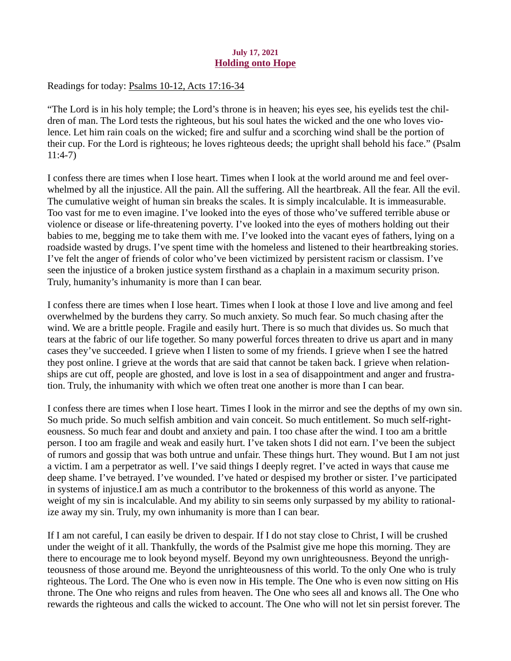## July 17, 2021 Holding onto Hope

<span id="page-26-0"></span>Readings for today: [Psalms 10-12, Acts 17:16-34](https://www.biblegateway.com/passage/?search=Psalms+10-12%2C+Acts+17%3A16-34&version=ESV)

"The Lord is in his holy temple; the Lord's throne is in heaven; his eyes see, his eyelids test the children of man. The Lord tests the righteous, but his soul hates the wicked and the one who loves violence. Let him rain coals on the wicked; fire and sulfur and a scorching wind shall be the portion of their cup. For the Lord is righteous; he loves righteous deeds; the upright shall behold his face." (Psalm 11:4-7)

I confess there are times when I lose heart. Times when I look at the world around me and feel overwhelmed by all the injustice. All the pain. All the suffering. All the heartbreak. All the fear. All the evil. The cumulative weight of human sin breaks the scales. It is simply incalculable. It is immeasurable. Too vast for me to even imagine. I've looked into the eyes of those who've suffered terrible abuse or violence or disease or life-threatening poverty. I've looked into the eyes of mothers holding out their babies to me, begging me to take them with me. I've looked into the vacant eyes of fathers, lying on a roadside wasted by drugs. I've spent time with the homeless and listened to their heartbreaking stories. I've felt the anger of friends of color who've been victimized by persistent racism or classism. I've seen the injustice of a broken justice system firsthand as a chaplain in a maximum security prison. Truly, humanity's inhumanity is more than I can bear.

I confess there are times when I lose heart. Times when I look at those I love and live among and feel overwhelmed by the burdens they carry. So much anxiety. So much fear. So much chasing after the wind. We are a brittle people. Fragile and easily hurt. There is so much that divides us. So much that tears at the fabric of our life together. So many powerful forces threaten to drive us apart and in many cases they've succeeded. I grieve when I listen to some of my friends. I grieve when I see the hatred they post online. I grieve at the words that are said that cannot be taken back. I grieve when relationships are cut off, people are ghosted, and love is lost in a sea of disappointment and anger and frustration. Truly, the inhumanity with which we often treat one another is more than I can bear.

I confess there are times when I lose heart. Times I look in the mirror and see the depths of my own sin. So much pride. So much selfish ambition and vain conceit. So much entitlement. So much self-righteousness. So much fear and doubt and anxiety and pain. I too chase after the wind. I too am a brittle person. I too am fragile and weak and easily hurt. I've taken shots I did not earn. I've been the subject of rumors and gossip that was both untrue and unfair. These things hurt. They wound. But I am not just a victim. I am a perpetrator as well. I've said things I deeply regret. I've acted in ways that cause me deep shame. I've betrayed. I've wounded. I've hated or despised my brother or sister. I've participated in systems of injustice.I am as much a contributor to the brokenness of this world as anyone. The weight of my sin is incalculable. And my ability to sin seems only surpassed by my ability to rationalize away my sin. Truly, my own inhumanity is more than I can bear.

If I am not careful, I can easily be driven to despair. If I do not stay close to Christ, I will be crushed under the weight of it all. Thankfully, the words of the Psalmist give me hope this morning. They are there to encourage me to look beyond myself. Beyond my own unrighteousness. Beyond the unrighteousness of those around me. Beyond the unrighteousness of this world. To the only One who is truly righteous. The Lord. The One who is even now in His temple. The One who is even now sitting on His throne. The One who reigns and rules from heaven. The One who sees all and knows all. The One who rewards the righteous and calls the wicked to account. The One who will not let sin persist forever. The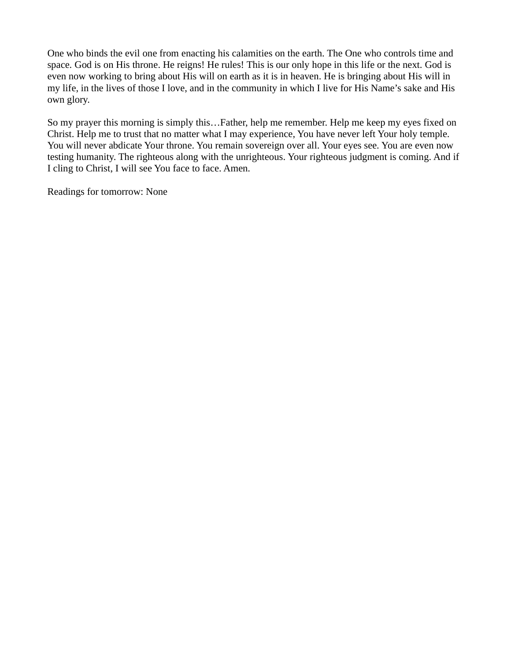One who binds the evil one from enacting his calamities on the earth. The One who controls time and space. God is on His throne. He reigns! He rules! This is our only hope in this life or the next. God is even now working to bring about His will on earth as it is in heaven. He is bringing about His will in my life, in the lives of those I love, and in the community in which I live for His Name's sake and His own glory.

So my prayer this morning is simply this…Father, help me remember. Help me keep my eyes fixed on Christ. Help me to trust that no matter what I may experience, You have never left Your holy temple. You will never abdicate Your throne. You remain sovereign over all. Your eyes see. You are even now testing humanity. The righteous along with the unrighteous. Your righteous judgment is coming. And if I cling to Christ, I will see You face to face. Amen.

Readings for tomorrow: None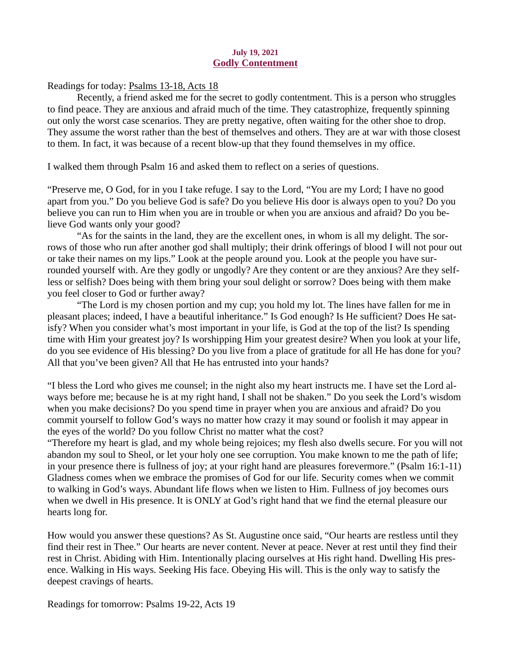#### July 19, 2021 Godly Contentment

# <span id="page-28-0"></span>Readings for today: [Psalms 13-18, Acts 18](https://www.biblegateway.com/passage/?search=Psalms+13-18%2C+Acts+18&version=ESV)

Recently, a friend asked me for the secret to godly contentment. This is a person who struggles to find peace. They are anxious and afraid much of the time. They catastrophize, frequently spinning out only the worst case scenarios. They are pretty negative, often waiting for the other shoe to drop. They assume the worst rather than the best of themselves and others. They are at war with those closest to them. In fact, it was because of a recent blow-up that they found themselves in my office.

I walked them through Psalm 16 and asked them to reflect on a series of questions.

"Preserve me, O God, for in you I take refuge. I say to the Lord, "You are my Lord; I have no good apart from you." Do you believe God is safe? Do you believe His door is always open to you? Do you believe you can run to Him when you are in trouble or when you are anxious and afraid? Do you believe God wants only your good?

"As for the saints in the land, they are the excellent ones, in whom is all my delight. The sorrows of those who run after another god shall multiply; their drink offerings of blood I will not pour out or take their names on my lips." Look at the people around you. Look at the people you have surrounded yourself with. Are they godly or ungodly? Are they content or are they anxious? Are they selfless or selfish? Does being with them bring your soul delight or sorrow? Does being with them make you feel closer to God or further away?

"The Lord is my chosen portion and my cup; you hold my lot. The lines have fallen for me in pleasant places; indeed, I have a beautiful inheritance." Is God enough? Is He sufficient? Does He satisfy? When you consider what's most important in your life, is God at the top of the list? Is spending time with Him your greatest joy? Is worshipping Him your greatest desire? When you look at your life, do you see evidence of His blessing? Do you live from a place of gratitude for all He has done for you? All that you've been given? All that He has entrusted into your hands?

"I bless the Lord who gives me counsel; in the night also my heart instructs me. I have set the Lord always before me; because he is at my right hand, I shall not be shaken." Do you seek the Lord's wisdom when you make decisions? Do you spend time in prayer when you are anxious and afraid? Do you commit yourself to follow God's ways no matter how crazy it may sound or foolish it may appear in the eyes of the world? Do you follow Christ no matter what the cost?

"Therefore my heart is glad, and my whole being rejoices; my flesh also dwells secure. For you will not abandon my soul to Sheol, or let your holy one see corruption. You make known to me the path of life; in your presence there is fullness of joy; at your right hand are pleasures forevermore." (Psalm 16:1-11) Gladness comes when we embrace the promises of God for our life. Security comes when we commit to walking in God's ways. Abundant life flows when we listen to Him. Fullness of joy becomes ours when we dwell in His presence. It is ONLY at God's right hand that we find the eternal pleasure our hearts long for.

How would you answer these questions? As St. Augustine once said, "Our hearts are restless until they find their rest in Thee." Our hearts are never content. Never at peace. Never at rest until they find their rest in Christ. Abiding with Him. Intentionally placing ourselves at His right hand. Dwelling His presence. Walking in His ways. Seeking His face. Obeying His will. This is the only way to satisfy the deepest cravings of hearts.

Readings for tomorrow: Psalms 19-22, Acts 19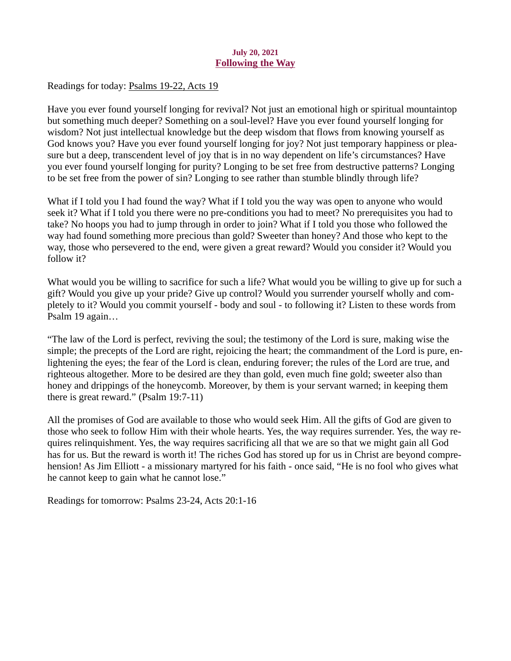## July 20, 2021 Following the Way

<span id="page-29-0"></span>Readings for today: [Psalms 19-22, Acts 19](https://www.biblegateway.com/passage/?search=Psalms+19-22%2C+Acts+19&version=ESV)

Have you ever found yourself longing for revival? Not just an emotional high or spiritual mountaintop but something much deeper? Something on a soul-level? Have you ever found yourself longing for wisdom? Not just intellectual knowledge but the deep wisdom that flows from knowing yourself as God knows you? Have you ever found yourself longing for joy? Not just temporary happiness or pleasure but a deep, transcendent level of joy that is in no way dependent on life's circumstances? Have you ever found yourself longing for purity? Longing to be set free from destructive patterns? Longing to be set free from the power of sin? Longing to see rather than stumble blindly through life?

What if I told you I had found the way? What if I told you the way was open to anyone who would seek it? What if I told you there were no pre-conditions you had to meet? No prerequisites you had to take? No hoops you had to jump through in order to join? What if I told you those who followed the way had found something more precious than gold? Sweeter than honey? And those who kept to the way, those who persevered to the end, were given a great reward? Would you consider it? Would you follow it?

What would you be willing to sacrifice for such a life? What would you be willing to give up for such a gift? Would you give up your pride? Give up control? Would you surrender yourself wholly and completely to it? Would you commit yourself - body and soul - to following it? Listen to these words from Psalm 19 again…

"The law of the Lord is perfect, reviving the soul; the testimony of the Lord is sure, making wise the simple; the precepts of the Lord are right, rejoicing the heart; the commandment of the Lord is pure, enlightening the eyes; the fear of the Lord is clean, enduring forever; the rules of the Lord are true, and righteous altogether. More to be desired are they than gold, even much fine gold; sweeter also than honey and drippings of the honeycomb. Moreover, by them is your servant warned; in keeping them there is great reward." (Psalm 19:7-11)

All the promises of God are available to those who would seek Him. All the gifts of God are given to those who seek to follow Him with their whole hearts. Yes, the way requires surrender. Yes, the way requires relinquishment. Yes, the way requires sacrificing all that we are so that we might gain all God has for us. But the reward is worth it! The riches God has stored up for us in Christ are beyond comprehension! As Jim Elliott - a missionary martyred for his faith - once said, "He is no fool who gives what he cannot keep to gain what he cannot lose."

Readings for tomorrow: Psalms 23-24, Acts 20:1-16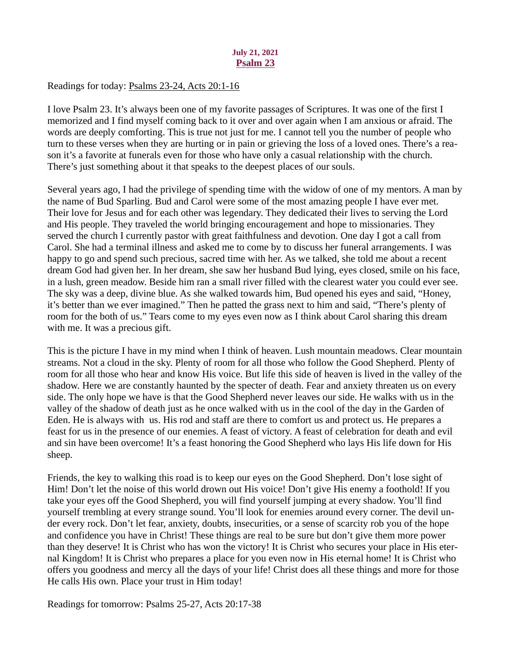### July 21, 2021 Psalm 23

# <span id="page-30-0"></span>Readings for today: [Psalms 23-24, Acts 20:1-16](https://www.biblegateway.com/passage/?search=Psalms+23-24%2C+Acts+20%3A1-16&version=ESV)

I love Psalm 23. It's always been one of my favorite passages of Scriptures. It was one of the first I memorized and I find myself coming back to it over and over again when I am anxious or afraid. The words are deeply comforting. This is true not just for me. I cannot tell you the number of people who turn to these verses when they are hurting or in pain or grieving the loss of a loved ones. There's a reason it's a favorite at funerals even for those who have only a casual relationship with the church. There's just something about it that speaks to the deepest places of our souls.

Several years ago, I had the privilege of spending time with the widow of one of my mentors. A man by the name of Bud Sparling. Bud and Carol were some of the most amazing people I have ever met. Their love for Jesus and for each other was legendary. They dedicated their lives to serving the Lord and His people. They traveled the world bringing encouragement and hope to missionaries. They served the church I currently pastor with great faithfulness and devotion. One day I got a call from Carol. She had a terminal illness and asked me to come by to discuss her funeral arrangements. I was happy to go and spend such precious, sacred time with her. As we talked, she told me about a recent dream God had given her. In her dream, she saw her husband Bud lying, eyes closed, smile on his face, in a lush, green meadow. Beside him ran a small river filled with the clearest water you could ever see. The sky was a deep, divine blue. As she walked towards him, Bud opened his eyes and said, "Honey, it's better than we ever imagined." Then he patted the grass next to him and said, "There's plenty of room for the both of us." Tears come to my eyes even now as I think about Carol sharing this dream with me. It was a precious gift.

This is the picture I have in my mind when I think of heaven. Lush mountain meadows. Clear mountain streams. Not a cloud in the sky. Plenty of room for all those who follow the Good Shepherd. Plenty of room for all those who hear and know His voice. But life this side of heaven is lived in the valley of the shadow. Here we are constantly haunted by the specter of death. Fear and anxiety threaten us on every side. The only hope we have is that the Good Shepherd never leaves our side. He walks with us in the valley of the shadow of death just as he once walked with us in the cool of the day in the Garden of Eden. He is always with us. His rod and staff are there to comfort us and protect us. He prepares a feast for us in the presence of our enemies. A feast of victory. A feast of celebration for death and evil and sin have been overcome! It's a feast honoring the Good Shepherd who lays His life down for His sheep.

Friends, the key to walking this road is to keep our eyes on the Good Shepherd. Don't lose sight of Him! Don't let the noise of this world drown out His voice! Don't give His enemy a foothold! If you take your eyes off the Good Shepherd, you will find yourself jumping at every shadow. You'll find yourself trembling at every strange sound. You'll look for enemies around every corner. The devil under every rock. Don't let fear, anxiety, doubts, insecurities, or a sense of scarcity rob you of the hope and confidence you have in Christ! These things are real to be sure but don't give them more power than they deserve! It is Christ who has won the victory! It is Christ who secures your place in His eternal Kingdom! It is Christ who prepares a place for you even now in His eternal home! It is Christ who offers you goodness and mercy all the days of your life! Christ does all these things and more for those He calls His own. Place your trust in Him today!

Readings for tomorrow: Psalms 25-27, Acts 20:17-38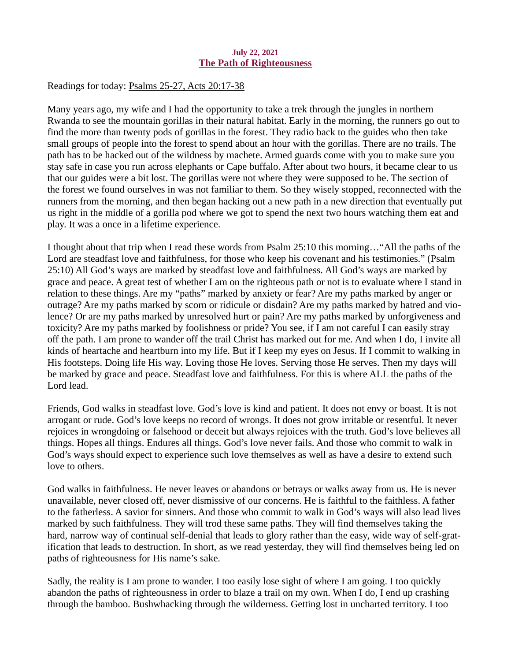## July 22, 2021 The Path of Righteousness

<span id="page-31-0"></span>Readings for today: [Psalms 25-27, Acts 20:17-38](https://www.biblegateway.com/passage/?search=Psalms+25-27%2C+Acts+20%3A17-38&version=ESV)

Many years ago, my wife and I had the opportunity to take a trek through the jungles in northern Rwanda to see the mountain gorillas in their natural habitat. Early in the morning, the runners go out to find the more than twenty pods of gorillas in the forest. They radio back to the guides who then take small groups of people into the forest to spend about an hour with the gorillas. There are no trails. The path has to be hacked out of the wildness by machete. Armed guards come with you to make sure you stay safe in case you run across elephants or Cape buffalo. After about two hours, it became clear to us that our guides were a bit lost. The gorillas were not where they were supposed to be. The section of the forest we found ourselves in was not familiar to them. So they wisely stopped, reconnected with the runners from the morning, and then began hacking out a new path in a new direction that eventually put us right in the middle of a gorilla pod where we got to spend the next two hours watching them eat and play. It was a once in a lifetime experience.

I thought about that trip when I read these words from Psalm 25:10 this morning…"All the paths of the Lord are steadfast love and faithfulness, for those who keep his covenant and his testimonies." (Psalm 25:10) All God's ways are marked by steadfast love and faithfulness. All God's ways are marked by grace and peace. A great test of whether I am on the righteous path or not is to evaluate where I stand in relation to these things. Are my "paths" marked by anxiety or fear? Are my paths marked by anger or outrage? Are my paths marked by scorn or ridicule or disdain? Are my paths marked by hatred and violence? Or are my paths marked by unresolved hurt or pain? Are my paths marked by unforgiveness and toxicity? Are my paths marked by foolishness or pride? You see, if I am not careful I can easily stray off the path. I am prone to wander off the trail Christ has marked out for me. And when I do, I invite all kinds of heartache and heartburn into my life. But if I keep my eyes on Jesus. If I commit to walking in His footsteps. Doing life His way. Loving those He loves. Serving those He serves. Then my days will be marked by grace and peace. Steadfast love and faithfulness. For this is where ALL the paths of the Lord lead.

Friends, God walks in steadfast love. God's love is kind and patient. It does not envy or boast. It is not arrogant or rude. God's love keeps no record of wrongs. It does not grow irritable or resentful. It never rejoices in wrongdoing or falsehood or deceit but always rejoices with the truth. God's love believes all things. Hopes all things. Endures all things. God's love never fails. And those who commit to walk in God's ways should expect to experience such love themselves as well as have a desire to extend such love to others.

God walks in faithfulness. He never leaves or abandons or betrays or walks away from us. He is never unavailable, never closed off, never dismissive of our concerns. He is faithful to the faithless. A father to the fatherless. A savior for sinners. And those who commit to walk in God's ways will also lead lives marked by such faithfulness. They will trod these same paths. They will find themselves taking the hard, narrow way of continual self-denial that leads to glory rather than the easy, wide way of self-gratification that leads to destruction. In short, as we read yesterday, they will find themselves being led on paths of righteousness for His name's sake.

Sadly, the reality is I am prone to wander. I too easily lose sight of where I am going. I too quickly abandon the paths of righteousness in order to blaze a trail on my own. When I do, I end up crashing through the bamboo. Bushwhacking through the wilderness. Getting lost in uncharted territory. I too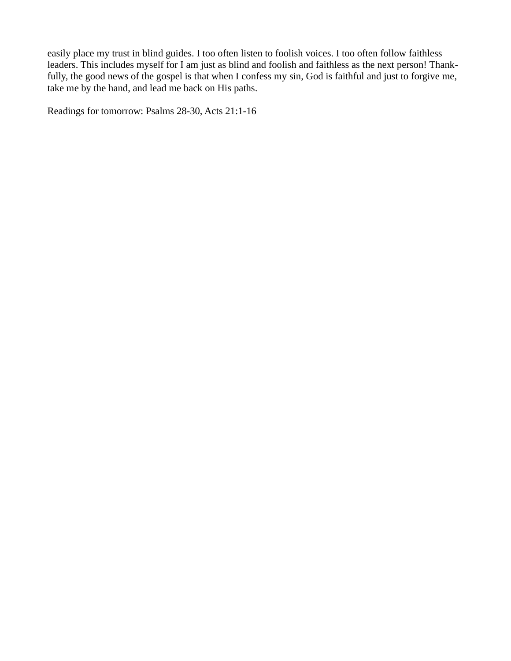easily place my trust in blind guides. I too often listen to foolish voices. I too often follow faithless leaders. This includes myself for I am just as blind and foolish and faithless as the next person! Thankfully, the good news of the gospel is that when I confess my sin, God is faithful and just to forgive me, take me by the hand, and lead me back on His paths.

Readings for tomorrow: Psalms 28-30, Acts 21:1-16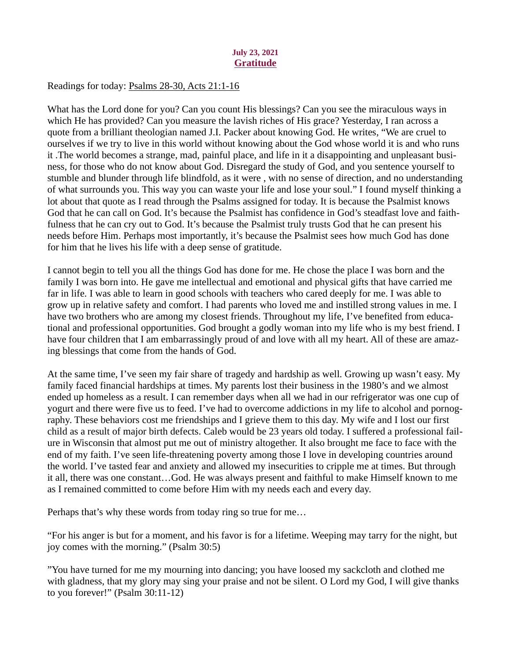# July 23, 2021 Gratitude

# <span id="page-33-0"></span>Readings for today[: Psalms 28-30, Acts 21:1-16](https://www.biblegateway.com/passage/?search=Psalms+28-30%2C+Acts+21%3A1-16&version=ESV)

What has the Lord done for you? Can you count His blessings? Can you see the miraculous ways in which He has provided? Can you measure the lavish riches of His grace? Yesterday, I ran across a quote from a brilliant theologian named J.I. Packer about knowing God. He writes, "We are cruel to ourselves if we try to live in this world without knowing about the God whose world it is and who runs it .The world becomes a strange, mad, painful place, and life in it a disappointing and unpleasant business, for those who do not know about God. Disregard the study of God, and you sentence yourself to stumble and blunder through life blindfold, as it were , with no sense of direction, and no understanding of what surrounds you. This way you can waste your life and lose your soul." I found myself thinking a lot about that quote as I read through the Psalms assigned for today. It is because the Psalmist knows God that he can call on God. It's because the Psalmist has confidence in God's steadfast love and faithfulness that he can cry out to God. It's because the Psalmist truly trusts God that he can present his needs before Him. Perhaps most importantly, it's because the Psalmist sees how much God has done for him that he lives his life with a deep sense of gratitude.

I cannot begin to tell you all the things God has done for me. He chose the place I was born and the family I was born into. He gave me intellectual and emotional and physical gifts that have carried me far in life. I was able to learn in good schools with teachers who cared deeply for me. I was able to grow up in relative safety and comfort. I had parents who loved me and instilled strong values in me. I have two brothers who are among my closest friends. Throughout my life, I've benefited from educational and professional opportunities. God brought a godly woman into my life who is my best friend. I have four children that I am embarrassingly proud of and love with all my heart. All of these are amazing blessings that come from the hands of God.

At the same time, I've seen my fair share of tragedy and hardship as well. Growing up wasn't easy. My family faced financial hardships at times. My parents lost their business in the 1980's and we almost ended up homeless as a result. I can remember days when all we had in our refrigerator was one cup of yogurt and there were five us to feed. I've had to overcome addictions in my life to alcohol and pornography. These behaviors cost me friendships and I grieve them to this day. My wife and I lost our first child as a result of major birth defects. Caleb would be 23 years old today. I suffered a professional failure in Wisconsin that almost put me out of ministry altogether. It also brought me face to face with the end of my faith. I've seen life-threatening poverty among those I love in developing countries around the world. I've tasted fear and anxiety and allowed my insecurities to cripple me at times. But through it all, there was one constant…God. He was always present and faithful to make Himself known to me as I remained committed to come before Him with my needs each and every day.

Perhaps that's why these words from today ring so true for me…

"For his anger is but for a moment, and his favor is for a lifetime. Weeping may tarry for the night, but joy comes with the morning." (Psalm 30:5)

"You have turned for me my mourning into dancing; you have loosed my sackcloth and clothed me with gladness, that my glory may sing your praise and not be silent. O Lord my God, I will give thanks to you forever!" (Psalm 30:11-12)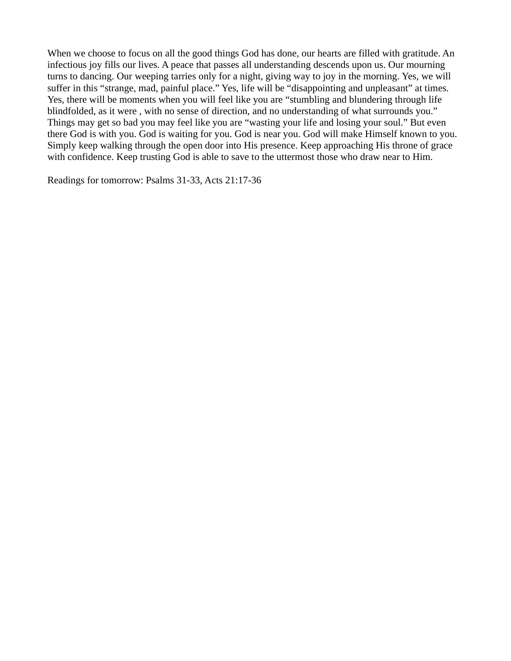When we choose to focus on all the good things God has done, our hearts are filled with gratitude. An infectious joy fills our lives. A peace that passes all understanding descends upon us. Our mourning turns to dancing. Our weeping tarries only for a night, giving way to joy in the morning. Yes, we will suffer in this "strange, mad, painful place." Yes, life will be "disappointing and unpleasant" at times. Yes, there will be moments when you will feel like you are "stumbling and blundering through life blindfolded, as it were , with no sense of direction, and no understanding of what surrounds you." Things may get so bad you may feel like you are "wasting your life and losing your soul." But even there God is with you. God is waiting for you. God is near you. God will make Himself known to you. Simply keep walking through the open door into His presence. Keep approaching His throne of grace with confidence. Keep trusting God is able to save to the uttermost those who draw near to Him.

Readings for tomorrow: Psalms 31-33, Acts 21:17-36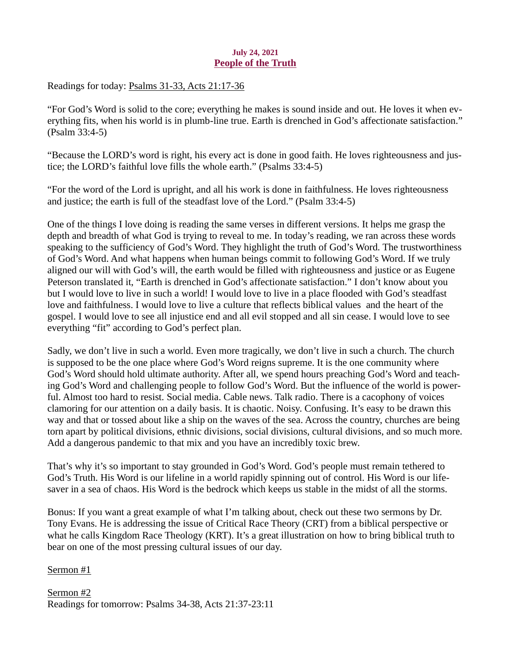# July 24, 2021 People of the Truth

<span id="page-35-0"></span>Readings for today[: Psalms 31-33, Acts 21:17-36](https://www.biblegateway.com/passage/?search=Psalms+31-33%2C+Acts+21%3A17-36&version=ESV)

"For God's Word is solid to the core; everything he makes is sound inside and out. He loves it when everything fits, when his world is in plumb-line true. Earth is drenched in God's affectionate satisfaction." (Psalm 33:4-5)

"Because the LORD's word is right, his every act is done in good faith. He loves righteousness and justice; the LORD's faithful love fills the whole earth." (Psalms 33:4-5)

"For the word of the Lord is upright, and all his work is done in faithfulness. He loves righteousness and justice; the earth is full of the steadfast love of the Lord." (Psalm 33:4-5)

One of the things I love doing is reading the same verses in different versions. It helps me grasp the depth and breadth of what God is trying to reveal to me. In today's reading, we ran across these words speaking to the sufficiency of God's Word. They highlight the truth of God's Word. The trustworthiness of God's Word. And what happens when human beings commit to following God's Word. If we truly aligned our will with God's will, the earth would be filled with righteousness and justice or as Eugene Peterson translated it, "Earth is drenched in God's affectionate satisfaction." I don't know about you but I would love to live in such a world! I would love to live in a place flooded with God's steadfast love and faithfulness. I would love to live a culture that reflects biblical values and the heart of the gospel. I would love to see all injustice end and all evil stopped and all sin cease. I would love to see everything "fit" according to God's perfect plan.

Sadly, we don't live in such a world. Even more tragically, we don't live in such a church. The church is supposed to be the one place where God's Word reigns supreme. It is the one community where God's Word should hold ultimate authority. After all, we spend hours preaching God's Word and teaching God's Word and challenging people to follow God's Word. But the influence of the world is powerful. Almost too hard to resist. Social media. Cable news. Talk radio. There is a cacophony of voices clamoring for our attention on a daily basis. It is chaotic. Noisy. Confusing. It's easy to be drawn this way and that or tossed about like a ship on the waves of the sea. Across the country, churches are being torn apart by political divisions, ethnic divisions, social divisions, cultural divisions, and so much more. Add a dangerous pandemic to that mix and you have an incredibly toxic brew.

That's why it's so important to stay grounded in God's Word. God's people must remain tethered to God's Truth. His Word is our lifeline in a world rapidly spinning out of control. His Word is our lifesaver in a sea of chaos. His Word is the bedrock which keeps us stable in the midst of all the storms.

Bonus: If you want a great example of what I'm talking about, check out these two sermons by Dr. Tony Evans. He is addressing the issue of Critical Race Theory (CRT) from a biblical perspective or what he calls Kingdom Race Theology (KRT). It's a great illustration on how to bring biblical truth to bear on one of the most pressing cultural issues of our day.

Sermon #1

Sermon #2 Readings for tomorrow: Psalms 34-38, Acts 21:37-23:11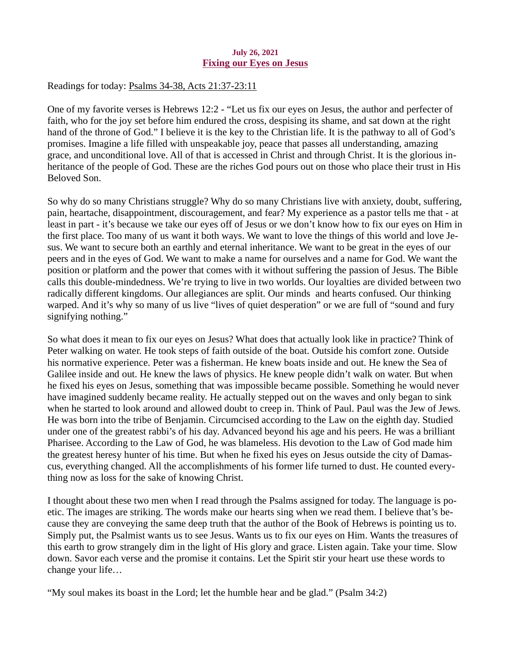### July 26, 2021 Fixing our Eyes on Jesus

<span id="page-36-0"></span>Readings for today: [Psalms 34-38, Acts 21:37-23:11](https://www.biblegateway.com/passage/?search=Psalms+34-38%2C+Acts+21%3A37-23%3A11&version=ESV)

One of my favorite verses is Hebrews 12:2 - "Let us fix our eyes on Jesus, the author and perfecter of faith, who for the joy set before him endured the cross, despising its shame, and sat down at the right hand of the throne of God." I believe it is the key to the Christian life. It is the pathway to all of God's promises. Imagine a life filled with unspeakable joy, peace that passes all understanding, amazing grace, and unconditional love. All of that is accessed in Christ and through Christ. It is the glorious inheritance of the people of God. These are the riches God pours out on those who place their trust in His Beloved Son.

So why do so many Christians struggle? Why do so many Christians live with anxiety, doubt, suffering, pain, heartache, disappointment, discouragement, and fear? My experience as a pastor tells me that - at least in part - it's because we take our eyes off of Jesus or we don't know how to fix our eyes on Him in the first place. Too many of us want it both ways. We want to love the things of this world and love Jesus. We want to secure both an earthly and eternal inheritance. We want to be great in the eyes of our peers and in the eyes of God. We want to make a name for ourselves and a name for God. We want the position or platform and the power that comes with it without suffering the passion of Jesus. The Bible calls this double-mindedness. We're trying to live in two worlds. Our loyalties are divided between two radically different kingdoms. Our allegiances are split. Our minds and hearts confused. Our thinking warped. And it's why so many of us live "lives of quiet desperation" or we are full of "sound and fury signifying nothing."

So what does it mean to fix our eyes on Jesus? What does that actually look like in practice? Think of Peter walking on water. He took steps of faith outside of the boat. Outside his comfort zone. Outside his normative experience. Peter was a fisherman. He knew boats inside and out. He knew the Sea of Galilee inside and out. He knew the laws of physics. He knew people didn't walk on water. But when he fixed his eyes on Jesus, something that was impossible became possible. Something he would never have imagined suddenly became reality. He actually stepped out on the waves and only began to sink when he started to look around and allowed doubt to creep in. Think of Paul. Paul was the Jew of Jews. He was born into the tribe of Benjamin. Circumcised according to the Law on the eighth day. Studied under one of the greatest rabbi's of his day. Advanced beyond his age and his peers. He was a brilliant Pharisee. According to the Law of God, he was blameless. His devotion to the Law of God made him the greatest heresy hunter of his time. But when he fixed his eyes on Jesus outside the city of Damascus, everything changed. All the accomplishments of his former life turned to dust. He counted everything now as loss for the sake of knowing Christ.

I thought about these two men when I read through the Psalms assigned for today. The language is poetic. The images are striking. The words make our hearts sing when we read them. I believe that's because they are conveying the same deep truth that the author of the Book of Hebrews is pointing us to. Simply put, the Psalmist wants us to see Jesus. Wants us to fix our eyes on Him. Wants the treasures of this earth to grow strangely dim in the light of His glory and grace. Listen again. Take your time. Slow down. Savor each verse and the promise it contains. Let the Spirit stir your heart use these words to change your life…

"My soul makes its boast in the Lord; let the humble hear and be glad." (Psalm 34:2)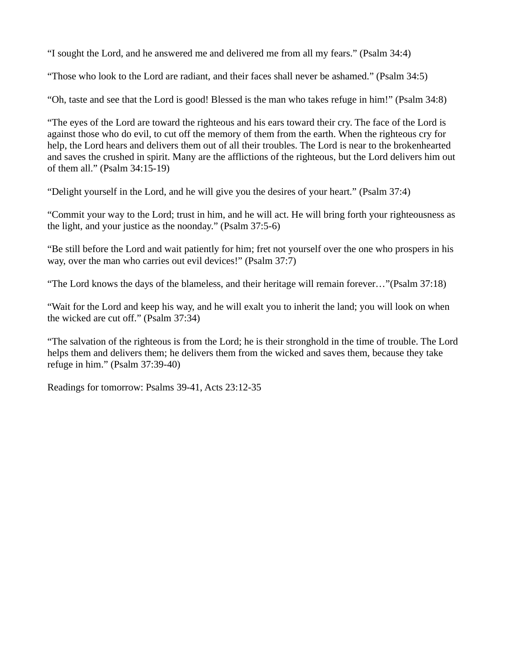"I sought the Lord, and he answered me and delivered me from all my fears." (Psalm 34:4)

"Those who look to the Lord are radiant, and their faces shall never be ashamed." (Psalm 34:5)

"Oh, taste and see that the Lord is good! Blessed is the man who takes refuge in him!" (Psalm 34:8)

"The eyes of the Lord are toward the righteous and his ears toward their cry. The face of the Lord is against those who do evil, to cut off the memory of them from the earth. When the righteous cry for help, the Lord hears and delivers them out of all their troubles. The Lord is near to the brokenhearted and saves the crushed in spirit. Many are the afflictions of the righteous, but the Lord delivers him out of them all." (Psalm 34:15-19)

"Delight yourself in the Lord, and he will give you the desires of your heart." (Psalm 37:4)

"Commit your way to the Lord; trust in him, and he will act. He will bring forth your righteousness as the light, and your justice as the noonday." (Psalm 37:5-6)

"Be still before the Lord and wait patiently for him; fret not yourself over the one who prospers in his way, over the man who carries out evil devices!" (Psalm 37:7)

"The Lord knows the days of the blameless, and their heritage will remain forever…"(Psalm 37:18)

"Wait for the Lord and keep his way, and he will exalt you to inherit the land; you will look on when the wicked are cut off." (Psalm 37:34)

"The salvation of the righteous is from the Lord; he is their stronghold in the time of trouble. The Lord helps them and delivers them; he delivers them from the wicked and saves them, because they take refuge in him." (Psalm 37:39-40)

Readings for tomorrow: Psalms 39-41, Acts 23:12-35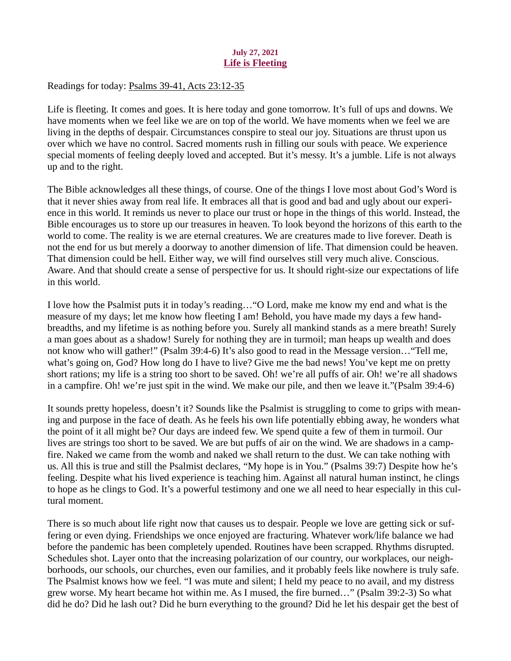# July 27, 2021 Life is Fleeting

<span id="page-38-0"></span>Readings for today[: Psalms 39-41, Acts 23:12-35](https://www.biblegateway.com/passage/?search=Psalms+39-41%2C+Acts+23%3A12-35&version=ESV)

Life is fleeting. It comes and goes. It is here today and gone tomorrow. It's full of ups and downs. We have moments when we feel like we are on top of the world. We have moments when we feel we are living in the depths of despair. Circumstances conspire to steal our joy. Situations are thrust upon us over which we have no control. Sacred moments rush in filling our souls with peace. We experience special moments of feeling deeply loved and accepted. But it's messy. It's a jumble. Life is not always up and to the right.

The Bible acknowledges all these things, of course. One of the things I love most about God's Word is that it never shies away from real life. It embraces all that is good and bad and ugly about our experience in this world. It reminds us never to place our trust or hope in the things of this world. Instead, the Bible encourages us to store up our treasures in heaven. To look beyond the horizons of this earth to the world to come. The reality is we are eternal creatures. We are creatures made to live forever. Death is not the end for us but merely a doorway to another dimension of life. That dimension could be heaven. That dimension could be hell. Either way, we will find ourselves still very much alive. Conscious. Aware. And that should create a sense of perspective for us. It should right-size our expectations of life in this world.

I love how the Psalmist puts it in today's reading…"O Lord, make me know my end and what is the measure of my days; let me know how fleeting I am! Behold, you have made my days a few handbreadths, and my lifetime is as nothing before you. Surely all mankind stands as a mere breath! Surely a man goes about as a shadow! Surely for nothing they are in turmoil; man heaps up wealth and does not know who will gather!" (Psalm 39:4-6) It's also good to read in the Message version…"Tell me, what's going on, God? How long do I have to live? Give me the bad news! You've kept me on pretty short rations; my life is a string too short to be saved. Oh! we're all puffs of air. Oh! we're all shadows in a campfire. Oh! we're just spit in the wind. We make our pile, and then we leave it."(Psalm 39:4-6)

It sounds pretty hopeless, doesn't it? Sounds like the Psalmist is struggling to come to grips with meaning and purpose in the face of death. As he feels his own life potentially ebbing away, he wonders what the point of it all might be? Our days are indeed few. We spend quite a few of them in turmoil. Our lives are strings too short to be saved. We are but puffs of air on the wind. We are shadows in a campfire. Naked we came from the womb and naked we shall return to the dust. We can take nothing with us. All this is true and still the Psalmist declares, "My hope is in You." (Psalms 39:7) Despite how he's feeling. Despite what his lived experience is teaching him. Against all natural human instinct, he clings to hope as he clings to God. It's a powerful testimony and one we all need to hear especially in this cultural moment.

There is so much about life right now that causes us to despair. People we love are getting sick or suffering or even dying. Friendships we once enjoyed are fracturing. Whatever work/life balance we had before the pandemic has been completely upended. Routines have been scrapped. Rhythms disrupted. Schedules shot. Layer onto that the increasing polarization of our country, our workplaces, our neighborhoods, our schools, our churches, even our families, and it probably feels like nowhere is truly safe. The Psalmist knows how we feel. "I was mute and silent; I held my peace to no avail, and my distress grew worse. My heart became hot within me. As I mused, the fire burned…" (Psalm 39:2-3) So what did he do? Did he lash out? Did he burn everything to the ground? Did he let his despair get the best of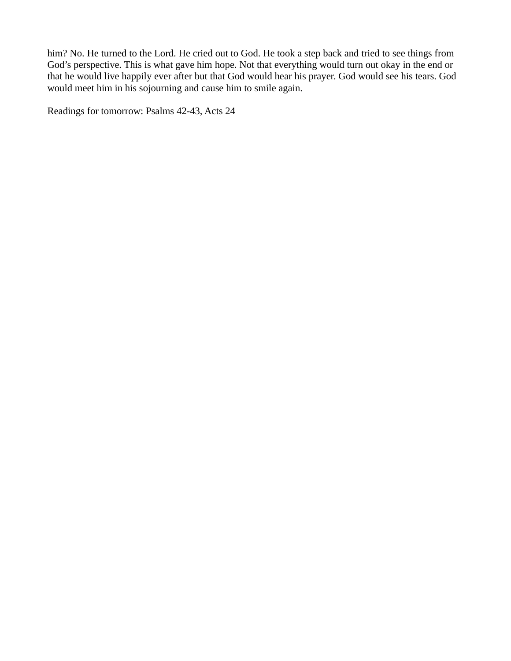him? No. He turned to the Lord. He cried out to God. He took a step back and tried to see things from God's perspective. This is what gave him hope. Not that everything would turn out okay in the end or that he would live happily ever after but that God would hear his prayer. God would see his tears. God would meet him in his sojourning and cause him to smile again.

Readings for tomorrow: Psalms 42-43, Acts 24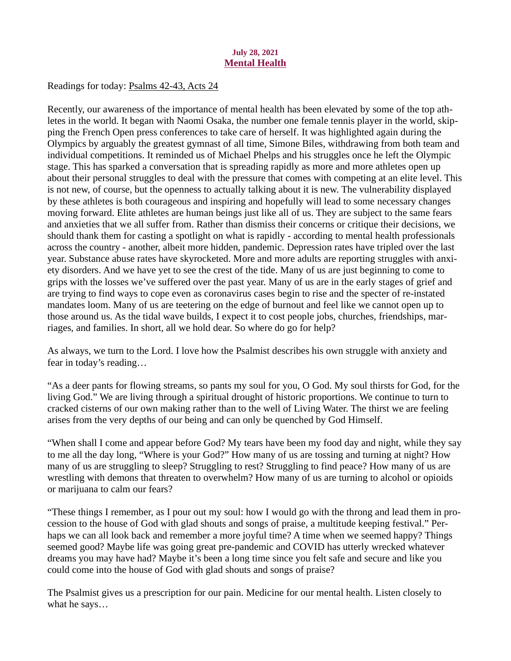# July 28, 2021 Mental Health

<span id="page-40-0"></span>Readings for today: [Psalms 42-43, Acts 24](https://www.biblegateway.com/passage/?search=Psalms+42-43%2C+Acts+24&version=ESV)

Recently, our awareness of the importance of mental health has been elevated by some of the top athletes in the world. It began with Naomi Osaka, the number one female tennis player in the world, skipping the French Open press conferences to take care of herself. It was highlighted again during the Olympics by arguably the greatest gymnast of all time, Simone Biles, withdrawing from both team and individual competitions. It reminded us of Michael Phelps and his struggles once he left the Olympic stage. This has sparked a conversation that is spreading rapidly as more and more athletes open up about their personal struggles to deal with the pressure that comes with competing at an elite level. This is not new, of course, but the openness to actually talking about it is new. The vulnerability displayed by these athletes is both courageous and inspiring and hopefully will lead to some necessary changes moving forward. Elite athletes are human beings just like all of us. They are subject to the same fears and anxieties that we all suffer from. Rather than dismiss their concerns or critique their decisions, we should thank them for casting a spotlight on what is rapidly - according to mental health professionals across the country - another, albeit more hidden, pandemic. Depression rates have tripled over the last year. Substance abuse rates have skyrocketed. More and more adults are reporting struggles with anxiety disorders. And we have yet to see the crest of the tide. Many of us are just beginning to come to grips with the losses we've suffered over the past year. Many of us are in the early stages of grief and are trying to find ways to cope even as coronavirus cases begin to rise and the specter of re-instated mandates loom. Many of us are teetering on the edge of burnout and feel like we cannot open up to those around us. As the tidal wave builds, I expect it to cost people jobs, churches, friendships, marriages, and families. In short, all we hold dear. So where do go for help?

As always, we turn to the Lord. I love how the Psalmist describes his own struggle with anxiety and fear in today's reading…

"As a deer pants for flowing streams, so pants my soul for you, O God. My soul thirsts for God, for the living God." We are living through a spiritual drought of historic proportions. We continue to turn to cracked cisterns of our own making rather than to the well of Living Water. The thirst we are feeling arises from the very depths of our being and can only be quenched by God Himself.

"When shall I come and appear before God? My tears have been my food day and night, while they say to me all the day long, "Where is your God?" How many of us are tossing and turning at night? How many of us are struggling to sleep? Struggling to rest? Struggling to find peace? How many of us are wrestling with demons that threaten to overwhelm? How many of us are turning to alcohol or opioids or marijuana to calm our fears?

"These things I remember, as I pour out my soul: how I would go with the throng and lead them in procession to the house of God with glad shouts and songs of praise, a multitude keeping festival." Perhaps we can all look back and remember a more joyful time? A time when we seemed happy? Things seemed good? Maybe life was going great pre-pandemic and COVID has utterly wrecked whatever dreams you may have had? Maybe it's been a long time since you felt safe and secure and like you could come into the house of God with glad shouts and songs of praise?

The Psalmist gives us a prescription for our pain. Medicine for our mental health. Listen closely to what he says…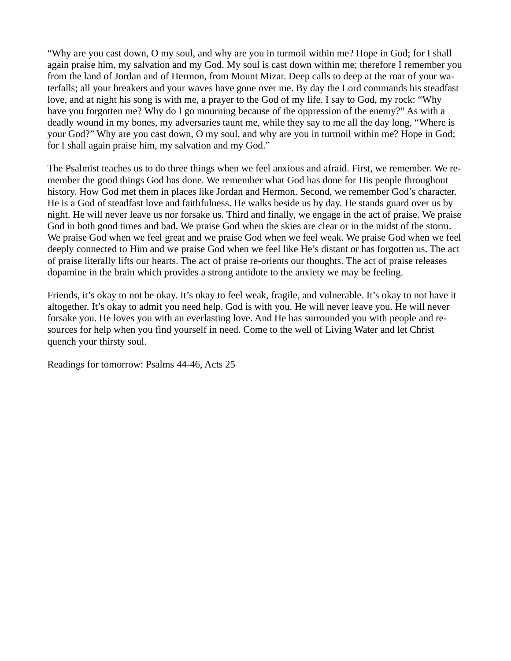"Why are you cast down, O my soul, and why are you in turmoil within me? Hope in God; for I shall again praise him, my salvation and my God. My soul is cast down within me; therefore I remember you from the land of Jordan and of Hermon, from Mount Mizar. Deep calls to deep at the roar of your waterfalls; all your breakers and your waves have gone over me. By day the Lord commands his steadfast love, and at night his song is with me, a prayer to the God of my life. I say to God, my rock: "Why have you forgotten me? Why do I go mourning because of the oppression of the enemy?" As with a deadly wound in my bones, my adversaries taunt me, while they say to me all the day long, "Where is your God?" Why are you cast down, O my soul, and why are you in turmoil within me? Hope in God; for I shall again praise him, my salvation and my God."

The Psalmist teaches us to do three things when we feel anxious and afraid. First, we remember. We remember the good things God has done. We remember what God has done for His people throughout history. How God met them in places like Jordan and Hermon. Second, we remember God's character. He is a God of steadfast love and faithfulness. He walks beside us by day. He stands guard over us by night. He will never leave us nor forsake us. Third and finally, we engage in the act of praise. We praise God in both good times and bad. We praise God when the skies are clear or in the midst of the storm. We praise God when we feel great and we praise God when we feel weak. We praise God when we feel deeply connected to Him and we praise God when we feel like He's distant or has forgotten us. The act of praise literally lifts our hearts. The act of praise re-orients our thoughts. The act of praise releases dopamine in the brain which provides a strong antidote to the anxiety we may be feeling.

Friends, it's okay to not be okay. It's okay to feel weak, fragile, and vulnerable. It's okay to not have it altogether. It's okay to admit you need help. God is with you. He will never leave you. He will never forsake you. He loves you with an everlasting love. And He has surrounded you with people and resources for help when you find yourself in need. Come to the well of Living Water and let Christ quench your thirsty soul.

Readings for tomorrow: Psalms 44-46, Acts 25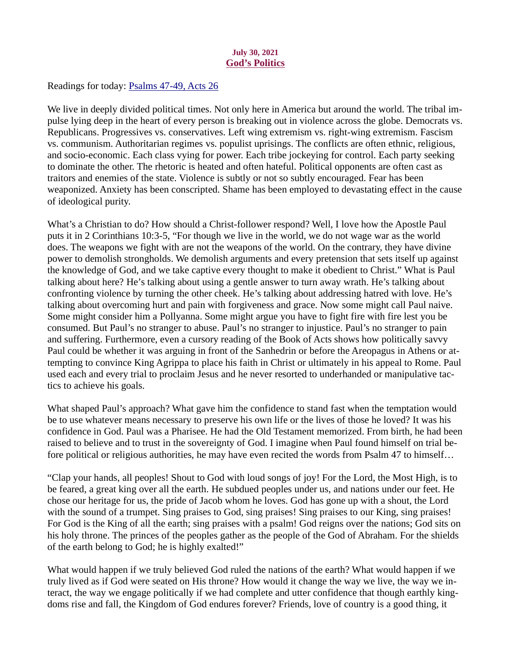# July 30, 2021 God's Politics

<span id="page-42-0"></span>Readings for today: [Psalms 47-49, Acts 26](https://www.biblegateway.com/passage/?search=Psalms+47-49%2C+Acts+26&version=ESV)

We live in deeply divided political times. Not only here in America but around the world. The tribal impulse lying deep in the heart of every person is breaking out in violence across the globe. Democrats vs. Republicans. Progressives vs. conservatives. Left wing extremism vs. right-wing extremism. Fascism vs. communism. Authoritarian regimes vs. populist uprisings. The conflicts are often ethnic, religious, and socio-economic. Each class vying for power. Each tribe jockeying for control. Each party seeking to dominate the other. The rhetoric is heated and often hateful. Political opponents are often cast as traitors and enemies of the state. Violence is subtly or not so subtly encouraged. Fear has been weaponized. Anxiety has been conscripted. Shame has been employed to devastating effect in the cause of ideological purity.

What's a Christian to do? How should a Christ-follower respond? Well, I love how the Apostle Paul puts it in 2 Corinthians 10:3-5, "For though we live in the world, we do not wage war as the world does. The weapons we fight with are not the weapons of the world. On the contrary, they have divine power to demolish strongholds. We demolish arguments and every pretension that sets itself up against the knowledge of God, and we take captive every thought to make it obedient to Christ." What is Paul talking about here? He's talking about using a gentle answer to turn away wrath. He's talking about confronting violence by turning the other cheek. He's talking about addressing hatred with love. He's talking about overcoming hurt and pain with forgiveness and grace. Now some might call Paul naive. Some might consider him a Pollyanna. Some might argue you have to fight fire with fire lest you be consumed. But Paul's no stranger to abuse. Paul's no stranger to injustice. Paul's no stranger to pain and suffering. Furthermore, even a cursory reading of the Book of Acts shows how politically savvy Paul could be whether it was arguing in front of the Sanhedrin or before the Areopagus in Athens or attempting to convince King Agrippa to place his faith in Christ or ultimately in his appeal to Rome. Paul used each and every trial to proclaim Jesus and he never resorted to underhanded or manipulative tactics to achieve his goals.

What shaped Paul's approach? What gave him the confidence to stand fast when the temptation would be to use whatever means necessary to preserve his own life or the lives of those he loved? It was his confidence in God. Paul was a Pharisee. He had the Old Testament memorized. From birth, he had been raised to believe and to trust in the sovereignty of God. I imagine when Paul found himself on trial before political or religious authorities, he may have even recited the words from Psalm 47 to himself...

"Clap your hands, all peoples! Shout to God with loud songs of joy! For the Lord, the Most High, is to be feared, a great king over all the earth. He subdued peoples under us, and nations under our feet. He chose our heritage for us, the pride of Jacob whom he loves. God has gone up with a shout, the Lord with the sound of a trumpet. Sing praises to God, sing praises! Sing praises to our King, sing praises! For God is the King of all the earth; sing praises with a psalm! God reigns over the nations; God sits on his holy throne. The princes of the peoples gather as the people of the God of Abraham. For the shields of the earth belong to God; he is highly exalted!"

What would happen if we truly believed God ruled the nations of the earth? What would happen if we truly lived as if God were seated on His throne? How would it change the way we live, the way we interact, the way we engage politically if we had complete and utter confidence that though earthly kingdoms rise and fall, the Kingdom of God endures forever? Friends, love of country is a good thing, it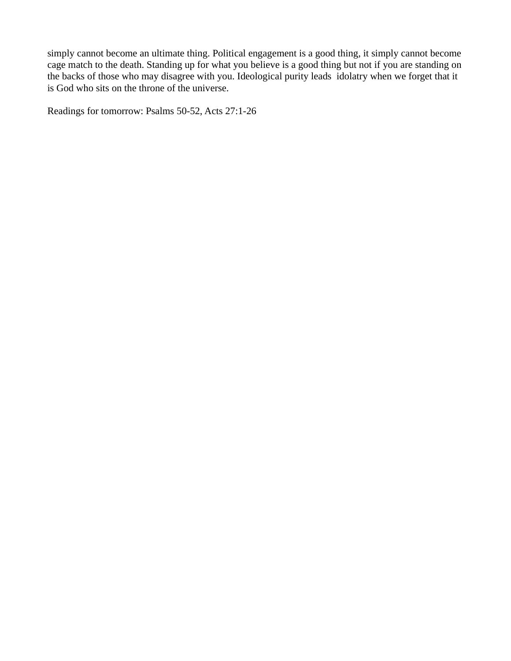simply cannot become an ultimate thing. Political engagement is a good thing, it simply cannot become cage match to the death. Standing up for what you believe is a good thing but not if you are standing on the backs of those who may disagree with you. Ideological purity leads idolatry when we forget that it is God who sits on the throne of the universe.

Readings for tomorrow: Psalms 50-52, Acts 27:1-26